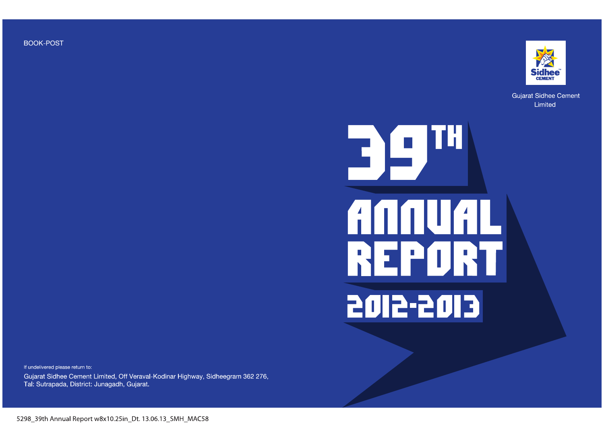

**Gujarat Sidhee Cement** Limited

# AN NUAL REPORT 2012-2013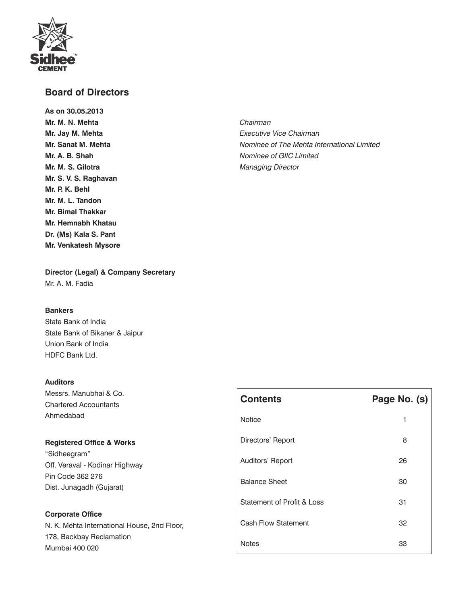

## **Board of Directors**

**As on 30.05.2013 Mr. M. N. Mehta** Chairman **Mr. M. S. Gilotra** Managing Director **Mr. S. V. S. Raghavan Mr. P. K. Behl Mr. M. L. Tandon Mr. Bimal Thakkar Mr. Hemnabh Khatau Dr. (Ms) Kala S. Pant Mr. Venkatesh Mysore**

**Mr. Jay M. Mehta Executive Vice Chairman Mr. Sanat M. Mehta** Nominee of The Mehta International Limited **Mr. A. B. Shah** Nominee of GIIC Limited

**Director (Legal) & Company Secretary** Mr. A. M. Fadia

#### **Bankers**

State Bank of India State Bank of Bikaner & Jaipur Union Bank of India HDFC Bank Ltd.

#### **Auditors**

#### **Registered Office & Works**

#### **Corporate Office**

| Messrs. Manubhai & Co.                                                 | <b>Contents</b>                       |              |
|------------------------------------------------------------------------|---------------------------------------|--------------|
| <b>Chartered Accountants</b>                                           |                                       | Page No. (s) |
| Ahmedabad                                                              | <b>Notice</b>                         |              |
| <b>Registered Office &amp; Works</b>                                   | Directors' Report                     | 8            |
| "Sidheegram"<br>Off. Veraval - Kodinar Highway                         | Auditors' Report                      | 26           |
| Pin Code 362 276<br>Dist. Junagadh (Gujarat)                           | <b>Balance Sheet</b>                  | 30           |
|                                                                        | <b>Statement of Profit &amp; Loss</b> | 31           |
| <b>Corporate Office</b><br>N. K. Mehta International House, 2nd Floor, | <b>Cash Flow Statement</b>            | 32           |
| 178, Backbay Reclamation<br>Mumbai 400 020                             | <b>Notes</b>                          | 33           |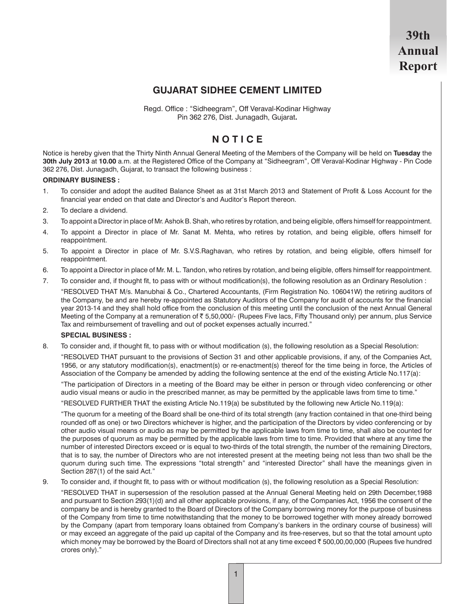## **GUJARAT SIDHEE CEMENT LIMITED**

Regd. Office : "Sidheegram", Off Veraval-Kodinar Highway Pin 362 276, Dist. Junagadh, Gujarat**.**

# **N O T I C E**

Notice is hereby given that the Thirty Ninth Annual General Meeting of the Members of the Company will be held on **Tuesday** the **30th July 2013** at **10.00** a.m. at the Registered Office of the Company at "Sidheegram", Off Veraval-Kodinar Highway - Pin Code 362 276, Dist. Junagadh, Gujarat, to transact the following business :

#### **ORDINARY BUSINESS :**

- 1. To consider and adopt the audited Balance Sheet as at 31st March 2013 and Statement of Profit & Loss Account for the financial year ended on that date and Director's and Auditor's Report thereon.
- 2. To declare a dividend.
- 3. To appoint a Director in place of Mr. Ashok B. Shah, who retires by rotation, and being eligible, offers himself for reappointment.
- 4. To appoint a Director in place of Mr. Sanat M. Mehta, who retires by rotation, and being eligible, offers himself for reappointment.
- 5. To appoint a Director in place of Mr. S.V.S.Raghavan, who retires by rotation, and being eligible, offers himself for reappointment.
- 6. To appoint a Director in place of Mr. M. L. Tandon, who retires by rotation, and being eligible, offers himself for reappointment.
- 7. To consider and, if thought fit, to pass with or without modification(s), the following resolution as an Ordinary Resolution :

"RESOLVED THAT M/s. Manubhai & Co., Chartered Accountants, (Firm Registration No. 106041W) the retiring auditors of the Company, be and are hereby re-appointed as Statutory Auditors of the Company for audit of accounts for the financial year 2013-14 and they shall hold office from the conclusion of this meeting until the conclusion of the next Annual General Meeting of the Company at a remuneration of  $\bar{\tau}$  5,50,000/- (Rupees Five lacs, Fifty Thousand only) per annum, plus Service Tax and reimbursement of travelling and out of pocket expenses actually incurred."

#### **SPECIAL BUSINESS :**

8. To consider and, if thought fit, to pass with or without modification (s), the following resolution as a Special Resolution:

"RESOLVED THAT pursuant to the provisions of Section 31 and other applicable provisions, if any, of the Companies Act, 1956, or any statutory modification(s), enactment(s) or re-enactment(s) thereof for the time being in force, the Articles of Association of the Company be amended by adding the following sentence at the end of the existing Article No.117(a):

"The participation of Directors in a meeting of the Board may be either in person or through video conferencing or other audio visual means or audio in the prescribed manner, as may be permitted by the applicable laws from time to time."

"RESOLVED FURTHER THAT the existing Article No.119(a) be substituted by the following new Article No.119(a):

"The quorum for a meeting of the Board shall be one-third of its total strength (any fraction contained in that one-third being rounded off as one) or two Directors whichever is higher, and the participation of the Directors by video conferencing or by other audio visual means or audio as may be permitted by the applicable laws from time to time, shall also be counted for the purposes of quorum as may be permitted by the applicable laws from time to time. Provided that where at any time the number of interested Directors exceed or is equal to two-thirds of the total strength, the number of the remaining Directors, that is to say, the number of Directors who are not interested present at the meeting being not less than two shall be the quorum during such time. The expressions "total strength" and "interested Director" shall have the meanings given in Section 287(1) of the said Act."

9. To consider and, if thought fit, to pass with or without modification (s), the following resolution as a Special Resolution:

"RESOLVED THAT in supersession of the resolution passed at the Annual General Meeting held on 29th December,1988 and pursuant to Section 293(1)(d) and all other applicable provisions, if any, of the Companies Act, 1956 the consent of the company be and is hereby granted to the Board of Directors of the Company borrowing money for the purpose of business of the Company from time to time notwithstanding that the money to be borrowed together with money already borrowed by the Company (apart from temporary loans obtained from Company's bankers in the ordinary course of business) will or may exceed an aggregate of the paid up capital of the Company and its free-reserves, but so that the total amount upto which money may be borrowed by the Board of Directors shall not at any time exceed  $\bar{c}$  500,00,00,000 (Rupees five hundred crores only)."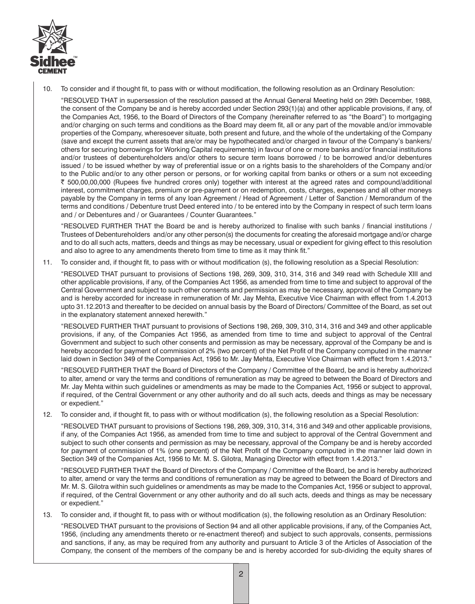

10. To consider and if thought fit, to pass with or without modification, the following resolution as an Ordinary Resolution:

"RESOLVED THAT in supersession of the resolution passed at the Annual General Meeting held on 29th December, 1988, the consent of the Company be and is hereby accorded under Section 293(1)(a) and other applicable provisions, if any, of the Companies Act, 1956, to the Board of Directors of the Company (hereinafter referred to as "the Board") to mortgaging and/or charging on such terms and conditions as the Board may deem fit, all or any part of the movable and/or immovable properties of the Company, wheresoever situate, both present and future, and the whole of the undertaking of the Company (save and except the current assets that are/or may be hypothecated and/or charged in favour of the Company's bankers/ others for securing borrowings for Working Capital requirements) in favour of one or more banks and/or financial institutions and/or trustees of debentureholders and/or others to secure term loans borrowed / to be borrowed and/or debentures issued / to be issued whether by way of preferential issue or on a rights basis to the shareholders of the Company and/or to the Public and/or to any other person or persons, or for working capital from banks or others or a sum not exceeding ` 500,00,00,000 (Rupees five hundred crores only) together with interest at the agreed rates and compound/additional interest, commitment charges, premium or pre-payment or on redemption, costs, charges, expenses and all other moneys payable by the Company in terms of any loan Agreement / Head of Agreement / Letter of Sanction / Memorandum of the terms and conditions / Debenture trust Deed entered into / to be entered into by the Company in respect of such term loans and / or Debentures and / or Guarantees / Counter Guarantees."

"RESOLVED FURTHER THAT the Board be and is hereby authorized to finalise with such banks / financial institutions / Trustees of Debentureholders and/or any other person(s) the documents for creating the aforesaid mortgage and/or charge and to do all such acts, matters, deeds and things as may be necessary, usual or expedient for giving effect to this resolution and also to agree to any amendments thereto from time to time as it may think fit."

11. To consider and, if thought fit, to pass with or without modification (s), the following resolution as a Special Resolution:

"RESOLVED THAT pursuant to provisions of Sections 198, 269, 309, 310, 314, 316 and 349 read with Schedule XIII and other applicable provisions, if any, of the Companies Act 1956, as amended from time to time and subject to approval of the Central Government and subject to such other consents and permission as may be necessary, approval of the Company be and is hereby accorded for increase in remuneration of Mr. Jay Mehta, Executive Vice Chairman with effect from 1.4.2013 upto 31.12.2013 and thereafter to be decided on annual basis by the Board of Directors/ Committee of the Board, as set out in the explanatory statement annexed herewith."

"RESOLVED FURTHER THAT pursuant to provisions of Sections 198, 269, 309, 310, 314, 316 and 349 and other applicable provisions, if any, of the Companies Act 1956, as amended from time to time and subject to approval of the Central Government and subject to such other consents and permission as may be necessary, approval of the Company be and is hereby accorded for payment of commission of 2% (two percent) of the Net Profit of the Company computed in the manner laid down in Section 349 of the Companies Act, 1956 to Mr. Jay Mehta, Executive Vice Chairman with effect from 1.4.2013."

"RESOLVED FURTHER THAT the Board of Directors of the Company / Committee of the Board, be and is hereby authorized to alter, amend or vary the terms and conditions of remuneration as may be agreed to between the Board of Directors and Mr. Jay Mehta within such guidelines or amendments as may be made to the Companies Act, 1956 or subject to approval, if required, of the Central Government or any other authority and do all such acts, deeds and things as may be necessary or expedient."

12. To consider and, if thought fit, to pass with or without modification (s), the following resolution as a Special Resolution:

"RESOLVED THAT pursuant to provisions of Sections 198, 269, 309, 310, 314, 316 and 349 and other applicable provisions, if any, of the Companies Act 1956, as amended from time to time and subject to approval of the Central Government and subject to such other consents and permission as may be necessary, approval of the Company be and is hereby accorded for payment of commission of 1% (one percent) of the Net Profit of the Company computed in the manner laid down in Section 349 of the Companies Act, 1956 to Mr. M. S. Gilotra, Managing Director with effect from 1.4.2013."

"RESOLVED FURTHER THAT the Board of Directors of the Company / Committee of the Board, be and is hereby authorized to alter, amend or vary the terms and conditions of remuneration as may be agreed to between the Board of Directors and Mr. M. S. Gilotra within such guidelines or amendments as may be made to the Companies Act, 1956 or subject to approval, if required, of the Central Government or any other authority and do all such acts, deeds and things as may be necessary or expedient."

13. To consider and, if thought fit, to pass with or without modification (s), the following resolution as an Ordinary Resolution:

"RESOLVED THAT pursuant to the provisions of Section 94 and all other applicable provisions, if any, of the Companies Act, 1956, (including any amendments thereto or re-enactment thereof) and subject to such approvals, consents, permissions and sanctions, if any, as may be required from any authority and pursuant to Article 3 of the Articles of Association of the Company, the consent of the members of the company be and is hereby accorded for sub-dividing the equity shares of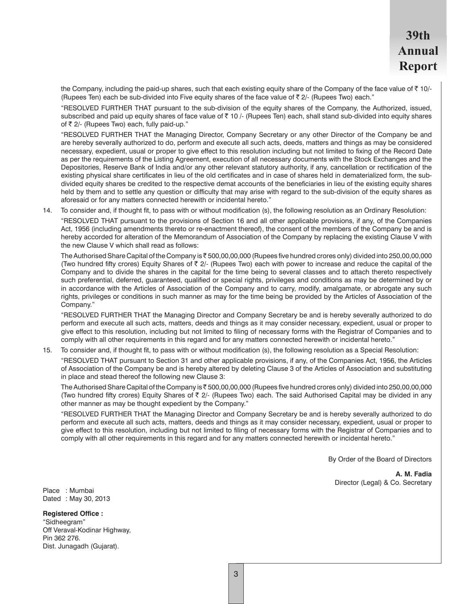the Company, including the paid-up shares, such that each existing equity share of the Company of the face value of  $\bar{\tau}$  10/-(Rupees Ten) each be sub-divided into Five equity shares of the face value of  $\bar{z}$  2/- (Rupees Two) each."

"RESOLVED FURTHER THAT pursuant to the sub-division of the equity shares of the Company, the Authorized, issued, subscribed and paid up equity shares of face value of  $\bar{\tau}$  10 /- (Rupees Ten) each, shall stand sub-divided into equity shares of ` 2/- (Rupees Two) each, fully paid-up."

"RESOLVED FURTHER THAT the Managing Director, Company Secretary or any other Director of the Company be and are hereby severally authorized to do, perform and execute all such acts, deeds, matters and things as may be considered necessary, expedient, usual or proper to give effect to this resolution including but not limited to fixing of the Record Date as per the requirements of the Listing Agreement, execution of all necessary documents with the Stock Exchanges and the Depositories, Reserve Bank of India and/or any other relevant statutory authority, if any, cancellation or rectification of the existing physical share certificates in lieu of the old certificates and in case of shares held in dematerialized form, the subdivided equity shares be credited to the respective demat accounts of the beneficiaries in lieu of the existing equity shares held by them and to settle any question or difficulty that may arise with regard to the sub-division of the equity shares as aforesaid or for any matters connected herewith or incidental hereto."

14. To consider and, if thought fit, to pass with or without modification (s), the following resolution as an Ordinary Resolution: "RESOLVED THAT pursuant to the provisions of Section 16 and all other applicable provisions, if any, of the Companies Act, 1956 (including amendments thereto or re-enactment thereof), the consent of the members of the Company be and is hereby accorded for alteration of the Memorandum of Association of the Company by replacing the existing Clause V with the new Clause V which shall read as follows:

The Authorised Share Capital of the Company is  $\bar{\tau}$  500,00,00,000 (Rupees five hundred crores only) divided into 250,00,00,000 (Two hundred fifty crores) Equity Shares of  $\bar{z}$  2/- (Rupees Two) each with power to increase and reduce the capital of the Company and to divide the shares in the capital for the time being to several classes and to attach thereto respectively such preferential, deferred, guaranteed, qualified or special rights, privileges and conditions as may be determined by or in accordance with the Articles of Association of the Company and to carry, modify, amalgamate, or abrogate any such rights, privileges or conditions in such manner as may for the time being be provided by the Articles of Association of the Company."

"RESOLVED FURTHER THAT the Managing Director and Company Secretary be and is hereby severally authorized to do perform and execute all such acts, matters, deeds and things as it may consider necessary, expedient, usual or proper to give effect to this resolution, including but not limited to filing of necessary forms with the Registrar of Companies and to comply with all other requirements in this regard and for any matters connected herewith or incidental hereto."

15. To consider and, if thought fit, to pass with or without modification (s), the following resolution as a Special Resolution:

"RESOLVED THAT pursuant to Section 31 and other applicable provisions, if any, of the Companies Act, 1956, the Articles of Association of the Company be and is hereby altered by deleting Clause 3 of the Articles of Association and substituting in place and stead thereof the following new Clause 3:

The Authorised Share Capital of the Company is ₹ 500,00,00,000 (Rupees five hundred crores only) divided into 250,00,00,000 (Two hundred fifty crores) Equity Shares of ₹ 2/- (Rupees Two) each. The said Authorised Capital may be divided in any other manner as may be thought expedient by the Company."

"RESOLVED FURTHER THAT the Managing Director and Company Secretary be and is hereby severally authorized to do perform and execute all such acts, matters, deeds and things as it may consider necessary, expedient, usual or proper to give effect to this resolution, including but not limited to filing of necessary forms with the Registrar of Companies and to comply with all other requirements in this regard and for any matters connected herewith or incidental hereto."

By Order of the Board of Directors

**A. M. Fadia** Director (Legal) & Co. Secretary

Place : Mumbai Dated : May 30, 2013

**Registered Office :**

"Sidheegram" Off Veraval-Kodinar Highway, Pin 362 276. Dist. Junagadh (Gujarat).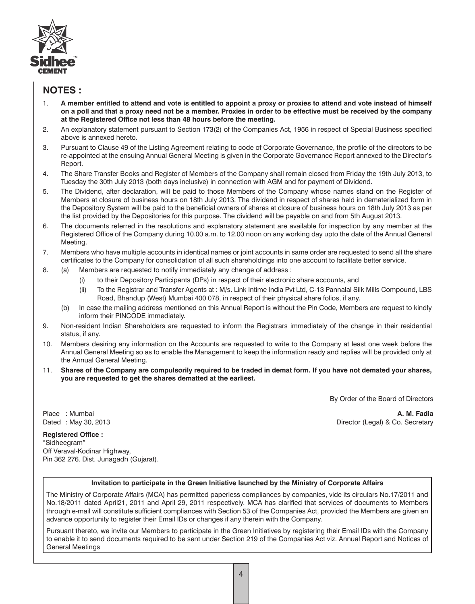

## **NOTES :**

- 1. **A member entitled to attend and vote is entitled to appoint a proxy or proxies to attend and vote instead of himself on a poll and that a proxy need not be a member. Proxies in order to be effective must be received by the company at the Registered Office not less than 48 hours before the meeting.**
- 2. An explanatory statement pursuant to Section 173(2) of the Companies Act, 1956 in respect of Special Business specified above is annexed hereto.
- 3. Pursuant to Clause 49 of the Listing Agreement relating to code of Corporate Governance, the profile of the directors to be re-appointed at the ensuing Annual General Meeting is given in the Corporate Governance Report annexed to the Director's Report.
- 4. The Share Transfer Books and Register of Members of the Company shall remain closed from Friday the 19th July 2013, to Tuesday the 30th July 2013 (both days inclusive) in connection with AGM and for payment of Dividend.
- 5. The Dividend, after declaration, will be paid to those Members of the Company whose names stand on the Register of Members at closure of business hours on 18th July 2013. The dividend in respect of shares held in dematerialized form in the Depository System will be paid to the beneficial owners of shares at closure of business hours on 18th July 2013 as per the list provided by the Depositories for this purpose. The dividend will be payable on and from 5th August 2013.
- 6. The documents referred in the resolutions and explanatory statement are available for inspection by any member at the Registered Office of the Company during 10.00 a.m. to 12.00 noon on any working day upto the date of the Annual General Meeting.
- 7. Members who have multiple accounts in identical names or joint accounts in same order are requested to send all the share certificates to the Company for consolidation of all such shareholdings into one account to facilitate better service.
- 8. (a) Members are requested to notify immediately any change of address :
	- (i) to their Depository Participants (DPs) in respect of their electronic share accounts, and
	- (ii) To the Registrar and Transfer Agents at : M/s. Link Intime India Pvt Ltd, C-13 Pannalal Silk Mills Compound, LBS Road, Bhandup (West) Mumbai 400 078, in respect of their physical share folios, if any.
	- (b) In case the mailing address mentioned on this Annual Report is without the Pin Code, Members are request to kindly inform their PINCODE immediately.
- 9. Non-resident Indian Shareholders are requested to inform the Registrars immediately of the change in their residential status, if any.
- 10. Members desiring any information on the Accounts are requested to write to the Company at least one week before the Annual General Meeting so as to enable the Management to keep the information ready and replies will be provided only at the Annual General Meeting.
- 11. **Shares of the Company are compulsorily required to be traded in demat form. If you have not demated your shares, you are requested to get the shares dematted at the earliest.**

By Order of the Board of Directors

Place : Mumbai Dated : May 30, 2013

#### **Registered Office :**

"Sidheegram" Off Veraval-Kodinar Highway, Pin 362 276. Dist. Junagadh (Gujarat).

**A. M. Fadia** Director (Legal) & Co. Secretary

#### **Invitation to participate in the Green Initiative launched by the Ministry of Corporate Affairs**

The Ministry of Corporate Affairs (MCA) has permitted paperless compliances by companies, vide its circulars No.17/2011 and No.18/2011 dated April21, 2011 and April 29, 2011 respectively. MCA has clarified that services of documents to Members through e-mail will constitute sufficient compliances with Section 53 of the Companies Act, provided the Members are given an advance opportunity to register their Email IDs or changes if any therein with the Company.

Pursuant thereto, we invite our Members to participate in the Green Initiatives by registering their Email IDs with the Company to enable it to send documents required to be sent under Section 219 of the Companies Act viz. Annual Report and Notices of General Meetings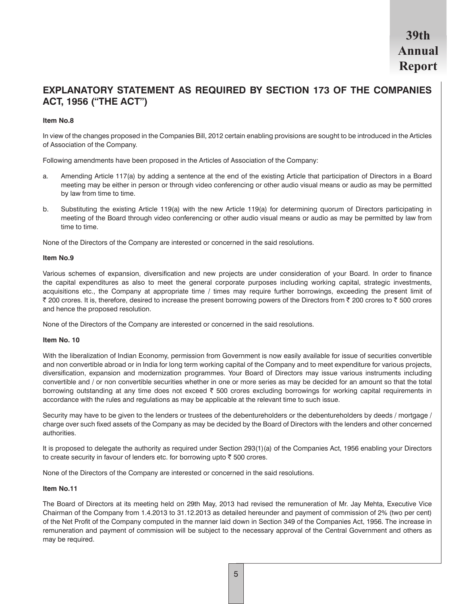## **EXPLANATORY STATEMENT AS REQUIRED BY SECTION 173 OF THE COMPANIES ACT, 1956 ("THE ACT")**

#### **Item No.8**

In view of the changes proposed in the Companies Bill, 2012 certain enabling provisions are sought to be introduced in the Articles of Association of the Company.

Following amendments have been proposed in the Articles of Association of the Company:

- a. Amending Article 117(a) by adding a sentence at the end of the existing Article that participation of Directors in a Board meeting may be either in person or through video conferencing or other audio visual means or audio as may be permitted by law from time to time.
- b. Substituting the existing Article 119(a) with the new Article 119(a) for determining quorum of Directors participating in meeting of the Board through video conferencing or other audio visual means or audio as may be permitted by law from time to time.

None of the Directors of the Company are interested or concerned in the said resolutions.

#### **Item No.9**

Various schemes of expansion, diversification and new projects are under consideration of your Board. In order to finance the capital expenditures as also to meet the general corporate purposes including working capital, strategic investments, acquisitions etc., the Company at appropriate time / times may require further borrowings, exceeding the present limit of ₹ 200 crores. It is, therefore, desired to increase the present borrowing powers of the Directors from ₹ 200 crores to ₹ 500 crores and hence the proposed resolution.

None of the Directors of the Company are interested or concerned in the said resolutions.

#### **Item No. 10**

With the liberalization of Indian Economy, permission from Government is now easily available for issue of securities convertible and non convertible abroad or in India for long term working capital of the Company and to meet expenditure for various projects, diversification, expansion and modernization programmes. Your Board of Directors may issue various instruments including convertible and / or non convertible securities whether in one or more series as may be decided for an amount so that the total borrowing outstanding at any time does not exceed  $\bar{\tau}$  500 crores excluding borrowings for working capital requirements in accordance with the rules and regulations as may be applicable at the relevant time to such issue.

Security may have to be given to the lenders or trustees of the debentureholders or the debentureholders by deeds / mortgage / charge over such fixed assets of the Company as may be decided by the Board of Directors with the lenders and other concerned authorities.

It is proposed to delegate the authority as required under Section 293(1)(a) of the Companies Act, 1956 enabling your Directors to create security in favour of lenders etc. for borrowing upto  $\bar{\tau}$  500 crores.

None of the Directors of the Company are interested or concerned in the said resolutions.

#### **Item No.11**

The Board of Directors at its meeting held on 29th May, 2013 had revised the remuneration of Mr. Jay Mehta, Executive Vice Chairman of the Company from 1.4.2013 to 31.12.2013 as detailed hereunder and payment of commission of 2% (two per cent) of the Net Profit of the Company computed in the manner laid down in Section 349 of the Companies Act, 1956. The increase in remuneration and payment of commission will be subject to the necessary approval of the Central Government and others as may be required.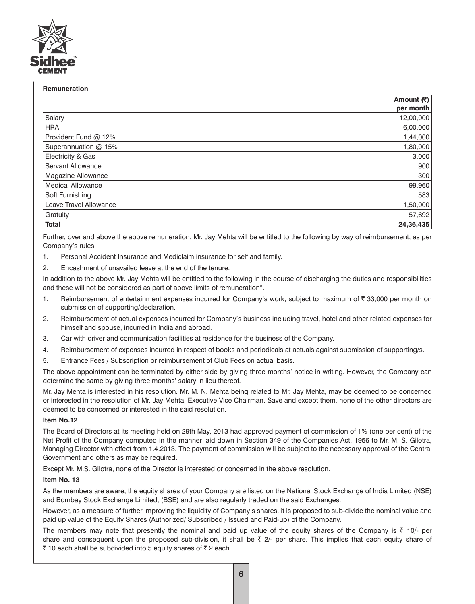

#### **Remuneration**

|                          | Amount (₹) |
|--------------------------|------------|
|                          | per month  |
| Salary                   | 12,00,000  |
| <b>HRA</b>               | 6,00,000   |
| Provident Fund @ 12%     | 1,44,000   |
| Superannuation @ 15%     | 1,80,000   |
| Electricity & Gas        | 3,000      |
| Servant Allowance        | 900        |
| Magazine Allowance       | 300        |
| <b>Medical Allowance</b> | 99,960     |
| Soft Furnishing          | 583        |
| Leave Travel Allowance   | 1,50,000   |
| Gratuity                 | 57,692     |
| <b>Total</b>             | 24,36,435  |

Further, over and above the above remuneration, Mr. Jay Mehta will be entitled to the following by way of reimbursement, as per Company's rules.

- 1. Personal Accident Insurance and Mediclaim insurance for self and family.
- 2. Encashment of unavailed leave at the end of the tenure.

In addition to the above Mr. Jay Mehta will be entitled to the following in the course of discharging the duties and responsibilities and these will not be considered as part of above limits of remuneration".

- 1. Reimbursement of entertainment expenses incurred for Company's work, subject to maximum of ₹ 33,000 per month on submission of supporting/declaration.
- 2. Reimbursement of actual expenses incurred for Company's business including travel, hotel and other related expenses for himself and spouse, incurred in India and abroad.
- 3. Car with driver and communication facilities at residence for the business of the Company.
- 4. Reimbursement of expenses incurred in respect of books and periodicals at actuals against submission of supporting/s.
- 5. Entrance Fees / Subscription or reimbursement of Club Fees on actual basis.

The above appointment can be terminated by either side by giving three months' notice in writing. However, the Company can determine the same by giving three months' salary in lieu thereof.

Mr. Jay Mehta is interested in his resolution. Mr. M. N. Mehta being related to Mr. Jay Mehta, may be deemed to be concerned or interested in the resolution of Mr. Jay Mehta, Executive Vice Chairman. Save and except them, none of the other directors are deemed to be concerned or interested in the said resolution.

#### **Item No.12**

The Board of Directors at its meeting held on 29th May, 2013 had approved payment of commission of 1% (one per cent) of the Net Profit of the Company computed in the manner laid down in Section 349 of the Companies Act, 1956 to Mr. M. S. Gilotra, Managing Director with effect from 1.4.2013. The payment of commission will be subject to the necessary approval of the Central Government and others as may be required.

Except Mr. M.S. Gilotra, none of the Director is interested or concerned in the above resolution.

#### **Item No. 13**

As the members are aware, the equity shares of your Company are listed on the National Stock Exchange of India Limited (NSE) and Bombay Stock Exchange Limited, (BSE) and are also regularly traded on the said Exchanges.

However, as a measure of further improving the liquidity of Company's shares, it is proposed to sub-divide the nominal value and paid up value of the Equity Shares (Authorized/ Subscribed / Issued and Paid-up) of the Company.

The members may note that presently the nominal and paid up value of the equity shares of the Company is  $\bar{\tau}$  10/- per share and consequent upon the proposed sub-division, it shall be  $\bar{\tau}$  2/- per share. This implies that each equity share of ₹ 10 each shall be subdivided into 5 equity shares of  $\bar{z}$  2 each.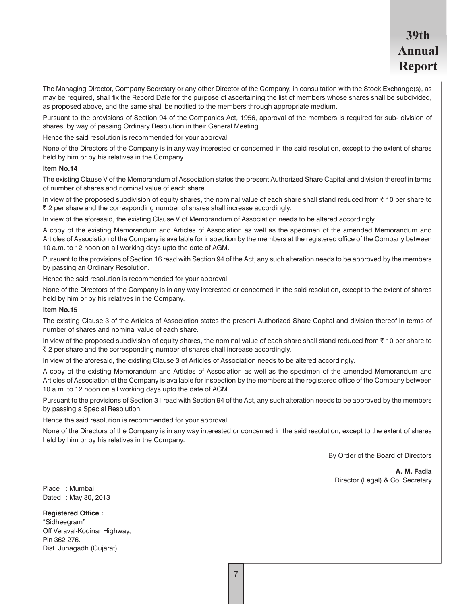The Managing Director, Company Secretary or any other Director of the Company, in consultation with the Stock Exchange(s), as may be required, shall fix the Record Date for the purpose of ascertaining the list of members whose shares shall be subdivided, as proposed above, and the same shall be notified to the members through appropriate medium.

Pursuant to the provisions of Section 94 of the Companies Act, 1956, approval of the members is required for sub- division of shares, by way of passing Ordinary Resolution in their General Meeting.

Hence the said resolution is recommended for your approval.

None of the Directors of the Company is in any way interested or concerned in the said resolution, except to the extent of shares held by him or by his relatives in the Company.

#### **Item No.14**

The existing Clause V of the Memorandum of Association states the present Authorized Share Capital and division thereof in terms of number of shares and nominal value of each share.

In view of the proposed subdivision of equity shares, the nominal value of each share shall stand reduced from  $\bar{z}$  10 per share to ₹ 2 per share and the corresponding number of shares shall increase accordingly.

In view of the aforesaid, the existing Clause V of Memorandum of Association needs to be altered accordingly.

A copy of the existing Memorandum and Articles of Association as well as the specimen of the amended Memorandum and Articles of Association of the Company is available for inspection by the members at the registered office of the Company between 10 a.m. to 12 noon on all working days upto the date of AGM.

Pursuant to the provisions of Section 16 read with Section 94 of the Act, any such alteration needs to be approved by the members by passing an Ordinary Resolution.

Hence the said resolution is recommended for your approval.

None of the Directors of the Company is in any way interested or concerned in the said resolution, except to the extent of shares held by him or by his relatives in the Company.

#### **Item No.15**

The existing Clause 3 of the Articles of Association states the present Authorized Share Capital and division thereof in terms of number of shares and nominal value of each share.

In view of the proposed subdivision of equity shares, the nominal value of each share shall stand reduced from  $\bar{\tau}$  10 per share to ₹ 2 per share and the corresponding number of shares shall increase accordingly.

In view of the aforesaid, the existing Clause 3 of Articles of Association needs to be altered accordingly.

A copy of the existing Memorandum and Articles of Association as well as the specimen of the amended Memorandum and Articles of Association of the Company is available for inspection by the members at the registered office of the Company between 10 a.m. to 12 noon on all working days upto the date of AGM.

Pursuant to the provisions of Section 31 read with Section 94 of the Act, any such alteration needs to be approved by the members by passing a Special Resolution.

Hence the said resolution is recommended for your approval.

None of the Directors of the Company is in any way interested or concerned in the said resolution, except to the extent of shares held by him or by his relatives in the Company.

By Order of the Board of Directors

**A. M. Fadia** Director (Legal) & Co. Secretary

Place : Mumbai Dated : May 30, 2013

**Registered Office :** "Sidheegram" Off Veraval-Kodinar Highway, Pin 362 276. Dist. Junagadh (Gujarat).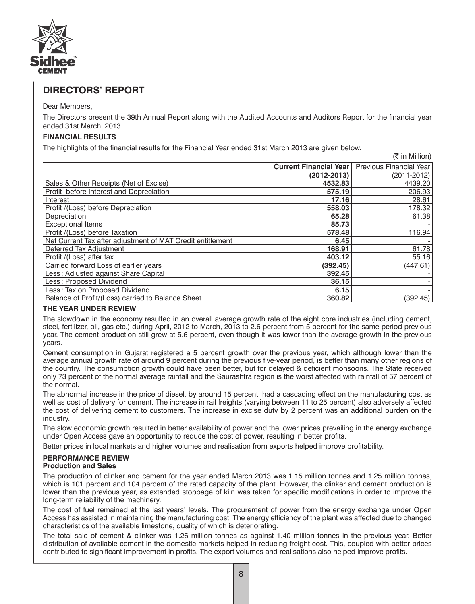

## **DIRECTORS' REPORT**

Dear Members,

The Directors present the 39th Annual Report along with the Audited Accounts and Auditors Report for the financial year ended 31st March, 2013.

#### **FINANCIAL RESULTS**

The highlights of the financial results for the Financial Year ended 31st March 2013 are given below.

|                                                            |                               | (₹ in Million)                 |
|------------------------------------------------------------|-------------------------------|--------------------------------|
|                                                            | <b>Current Financial Year</b> | <b>Previous Financial Year</b> |
|                                                            | $(2012 - 2013)$               | $(2011 - 2012)$                |
| Sales & Other Receipts (Net of Excise)                     | 4532.83                       | 4439.20                        |
| Profit before Interest and Depreciation                    | 575.19                        | 206.93                         |
| Interest                                                   | 17.16                         | 28.61                          |
| Profit /(Loss) before Depreciation                         | 558.03                        | 178.32                         |
| Depreciation                                               | 65.28                         | 61.38                          |
| <b>Exceptional Items</b>                                   | 85.73                         |                                |
| Profit /(Loss) before Taxation                             | 578.48                        | 116.94                         |
| Net Current Tax after adjustment of MAT Credit entitlement | 6.45                          |                                |
| Deferred Tax Adiustment                                    | 168.91                        | 61.78                          |
| Profit /(Loss) after tax                                   | 403.12                        | 55.16                          |
| Carried forward Loss of earlier years                      | (392.45)                      | (447.61)                       |
| Less: Adjusted against Share Capital                       | 392.45                        |                                |
| Less: Proposed Dividend                                    | 36.15                         |                                |
| Less: Tax on Proposed Dividend                             | 6.15                          |                                |
| Balance of Profit/(Loss) carried to Balance Sheet          | 360.82                        | (392.45)                       |

#### **THE YEAR UNDER REVIEW**

The slowdown in the economy resulted in an overall average growth rate of the eight core industries (including cement, steel, fertilizer, oil, gas etc.) during April, 2012 to March, 2013 to 2.6 percent from 5 percent for the same period previous year. The cement production still grew at 5.6 percent, even though it was lower than the average growth in the previous years.

Cement consumption in Gujarat registered a 5 percent growth over the previous year, which although lower than the average annual growth rate of around 9 percent during the previous five-year period, is better than many other regions of the country. The consumption growth could have been better, but for delayed & deficient monsoons. The State received only 73 percent of the normal average rainfall and the Saurashtra region is the worst affected with rainfall of 57 percent of the normal.

The abnormal increase in the price of diesel, by around 15 percent, had a cascading effect on the manufacturing cost as well as cost of delivery for cement. The increase in rail freights (varying between 11 to 25 percent) also adversely affected the cost of delivering cement to customers. The increase in excise duty by 2 percent was an additional burden on the industry.

The slow economic growth resulted in better availability of power and the lower prices prevailing in the energy exchange under Open Access gave an opportunity to reduce the cost of power, resulting in better profits.

Better prices in local markets and higher volumes and realisation from exports helped improve profitability.

#### **PERFORMANCE REVIEW**

#### **Production and Sales**

The production of clinker and cement for the year ended March 2013 was 1.15 million tonnes and 1.25 million tonnes, which is 101 percent and 104 percent of the rated capacity of the plant. However, the clinker and cement production is lower than the previous year, as extended stoppage of kiln was taken for specific modifications in order to improve the long-term reliability of the machinery.

The cost of fuel remained at the last years' levels. The procurement of power from the energy exchange under Open Access has assisted in maintaining the manufacturing cost. The energy efficiency of the plant was affected due to changed characteristics of the available limestone, quality of which is deteriorating.

The total sale of cement & clinker was 1.26 million tonnes as against 1.40 million tonnes in the previous year. Better distribution of available cement in the domestic markets helped in reducing freight cost. This, coupled with better prices contributed to significant improvement in profits. The export volumes and realisations also helped improve profits.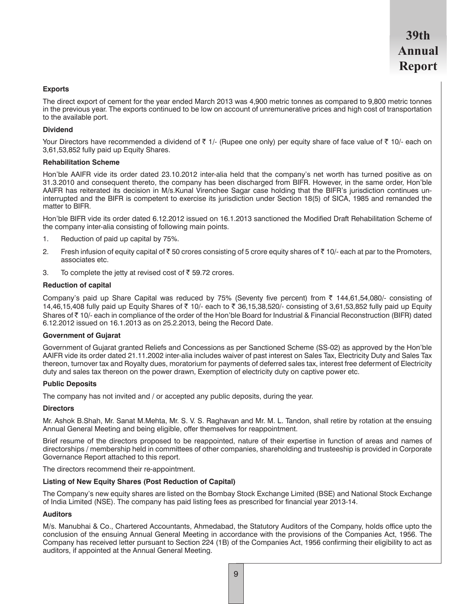#### **Exports**

The direct export of cement for the year ended March 2013 was 4,900 metric tonnes as compared to 9,800 metric tonnes in the previous year. The exports continued to be low on account of unremunerative prices and high cost of transportation to the available port.

#### **Dividend**

Your Directors have recommended a dividend of  $\bar{z}$  1/- (Rupee one only) per equity share of face value of  $\bar{z}$  10/- each on 3,61,53,852 fully paid up Equity Shares.

#### **Rehabilitation Scheme**

Hon'ble AAIFR vide its order dated 23.10.2012 inter-alia held that the company's net worth has turned positive as on 31.3.2010 and consequent thereto, the company has been discharged from BIFR. However, in the same order, Hon'ble AAIFR has reiterated its decision in M/s.Kunal Virenchee Sagar case holding that the BIFR's jurisdiction continues uninterrupted and the BIFR is competent to exercise its jurisdiction under Section 18(5) of SICA, 1985 and remanded the matter to BIFR.

Hon'ble BIFR vide its order dated 6.12.2012 issued on 16.1.2013 sanctioned the Modified Draft Rehabilitation Scheme of the company inter-alia consisting of following main points.

- 1. Reduction of paid up capital by 75%.
- 2. Fresh infusion of equity capital of  $\bar{z}$  50 crores consisting of 5 crore equity shares of  $\bar{z}$  10/- each at par to the Promoters, associates etc.
- 3. To complete the jetty at revised cost of  $\bar{z}$  59.72 crores.

#### **Reduction of capital**

Company's paid up Share Capital was reduced by 75% (Seventy five percent) from  $\bar{\tau}$  144,61,54,080/- consisting of 14,46,15,408 fully paid up Equity Shares of  $\bar{z}$  10/- each to  $\bar{z}$  36,15,38,520/- consisting of 3,61,53,852 fully paid up Equity Shares of  $\bar{\tau}$  10/- each in compliance of the order of the Hon'ble Board for Industrial & Financial Reconstruction (BIFR) dated 6.12.2012 issued on 16.1.2013 as on 25.2.2013, being the Record Date.

#### **Government of Gujarat**

Government of Gujarat granted Reliefs and Concessions as per Sanctioned Scheme (SS-02) as approved by the Hon'ble AAIFR vide its order dated 21.11.2002 inter-alia includes waiver of past interest on Sales Tax, Electricity Duty and Sales Tax thereon, turnover tax and Royalty dues, moratorium for payments of deferred sales tax, interest free deferment of Electricity duty and sales tax thereon on the power drawn, Exemption of electricity duty on captive power etc.

#### **Public Deposits**

The company has not invited and / or accepted any public deposits, during the year.

#### **Directors**

Mr. Ashok B.Shah, Mr. Sanat M.Mehta, Mr. S. V. S. Raghavan and Mr. M. L. Tandon, shall retire by rotation at the ensuing Annual General Meeting and being eligible, offer themselves for reappointment.

Brief resume of the directors proposed to be reappointed, nature of their expertise in function of areas and names of directorships / membership held in committees of other companies, shareholding and trusteeship is provided in Corporate Governance Report attached to this report.

The directors recommend their re-appointment.

#### **Listing of New Equity Shares (Post Reduction of Capital)**

The Company's new equity shares are listed on the Bombay Stock Exchange Limited (BSE) and National Stock Exchange of India Limited (NSE). The company has paid listing fees as prescribed for financial year 2013-14.

#### **Auditors**

M/s. Manubhai & Co., Chartered Accountants, Ahmedabad, the Statutory Auditors of the Company, holds office upto the conclusion of the ensuing Annual General Meeting in accordance with the provisions of the Companies Act, 1956. The Company has received letter pursuant to Section 224 (1B) of the Companies Act, 1956 confirming their eligibility to act as auditors, if appointed at the Annual General Meeting.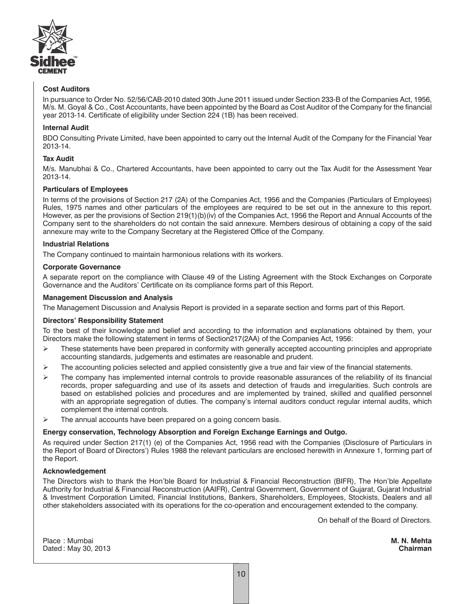

#### **Cost Auditors**

In pursuance to Order No. 52/56/CAB-2010 dated 30th June 2011 issued under Section 233-B of the Companies Act, 1956, M/s. M. Goyal & Co., Cost Accountants, have been appointed by the Board as Cost Auditor of the Company for the financial year 2013-14. Certificate of eligibility under Section 224 (1B) has been received.

#### **Internal Audit**

BDO Consulting Private Limited, have been appointed to carry out the Internal Audit of the Company for the Financial Year 2013-14.

#### **Tax Audit**

M/s. Manubhai & Co., Chartered Accountants, have been appointed to carry out the Tax Audit for the Assessment Year 2013-14.

#### **Particulars of Employees**

In terms of the provisions of Section 217 (2A) of the Companies Act, 1956 and the Companies (Particulars of Employees) Rules, 1975 names and other particulars of the employees are required to be set out in the annexure to this report. However, as per the provisions of Section 219(1)(b)(iv) of the Companies Act, 1956 the Report and Annual Accounts of the Company sent to the shareholders do not contain the said annexure. Members desirous of obtaining a copy of the said annexure may write to the Company Secretary at the Registered Office of the Company.

#### **Industrial Relations**

The Company continued to maintain harmonious relations with its workers.

#### **Corporate Governance**

A separate report on the compliance with Clause 49 of the Listing Agreement with the Stock Exchanges on Corporate Governance and the Auditors' Certificate on its compliance forms part of this Report.

#### **Management Discussion and Analysis**

The Management Discussion and Analysis Report is provided in a separate section and forms part of this Report.

#### **Directors' Responsibility Statement**

To the best of their knowledge and belief and according to the information and explanations obtained by them, your Directors make the following statement in terms of Section217(2AA) of the Companies Act, 1956:

- $\triangleright$  These statements have been prepared in conformity with generally accepted accounting principles and appropriate accounting standards, judgements and estimates are reasonable and prudent.
- $\triangleright$  The accounting policies selected and applied consistently give a true and fair view of the financial statements.
- $\triangleright$  The company has implemented internal controls to provide reasonable assurances of the reliability of its financial records, proper safeguarding and use of its assets and detection of frauds and irregularities. Such controls are based on established policies and procedures and are implemented by trained, skilled and qualified personnel with an appropriate segregation of duties. The company's internal auditors conduct regular internal audits, which complement the internal controls.
- The annual accounts have been prepared on a going concern basis.

#### **Energy conservation, Technology Absorption and Foreign Exchange Earnings and Outgo.**

As required under Section 217(1) (e) of the Companies Act, 1956 read with the Companies (Disclosure of Particulars in the Report of Board of Directors') Rules 1988 the relevant particulars are enclosed herewith in Annexure 1, forming part of the Report.

#### **Acknowledgement**

The Directors wish to thank the Hon'ble Board for Industrial & Financial Reconstruction (BIFR), The Hon'ble Appellate Authority for Industrial & Financial Reconstruction (AAIFR), Central Government, Government of Gujarat, Gujarat Industrial & Investment Corporation Limited, Financial Institutions, Bankers, Shareholders, Employees, Stockists, Dealers and all other stakeholders associated with its operations for the co-operation and encouragement extended to the company.

On behalf of the Board of Directors.

Place : Mumbai **M. N. Mehta** Dated: May 30, 2013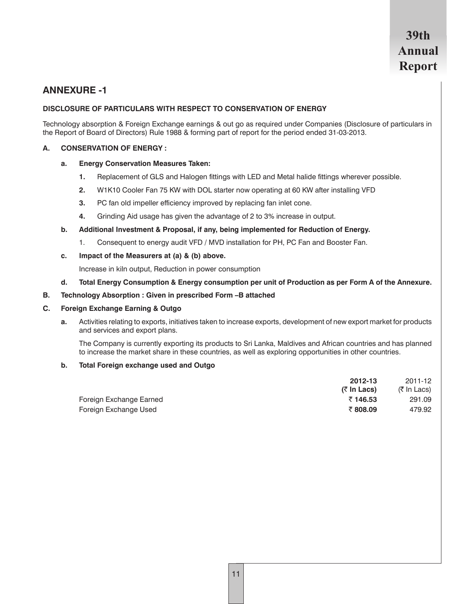## **ANNEXURE -1**

#### **DISCLOSURE OF PARTICULARS WITH RESPECT TO CONSERVATION OF ENERGY**

Technology absorption & Foreign Exchange earnings & out go as required under Companies (Disclosure of particulars in the Report of Board of Directors) Rule 1988 & forming part of report for the period ended 31-03-2013.

#### **A. CONSERVATION OF ENERGY :**

#### **a. Energy Conservation Measures Taken:**

- **1.** Replacement of GLS and Halogen fittings with LED and Metal halide fittings wherever possible.
- **2.** W1K10 Cooler Fan 75 KW with DOL starter now operating at 60 KW after installing VFD
- **3.** PC fan old impeller efficiency improved by replacing fan inlet cone.
- **4.** Grinding Aid usage has given the advantage of 2 to 3% increase in output.
- **b. Additional Investment & Proposal, if any, being implemented for Reduction of Energy.**
	- 1. Consequent to energy audit VFD / MVD installation for PH, PC Fan and Booster Fan.
- **c. Impact of the Measurers at (a) & (b) above.**

Increase in kiln output, Reduction in power consumption

**d. Total Energy Consumption & Energy consumption per unit of Production as per Form A of the Annexure.**

#### **B. Technology Absorption : Given in prescribed Form –B attached**

#### **C. Foreign Exchange Earning & Outgo**

**a.** Activities relating to exports, initiatives taken to increase exports, development of new export market for products and services and export plans.

The Company is currently exporting its products to Sri Lanka, Maldives and African countries and has planned to increase the market share in these countries, as well as exploring opportunities in other countries.

#### **b. Total Foreign exchange used and Outgo**

|                         | 2012-13     | 2011-12     |
|-------------------------|-------------|-------------|
|                         | (₹ In Lacs) | (₹ In Lacs) |
| Foreign Exchange Earned | ₹146.53     | 291.09      |
| Foreign Exchange Used   | ₹808.09     | 479.92      |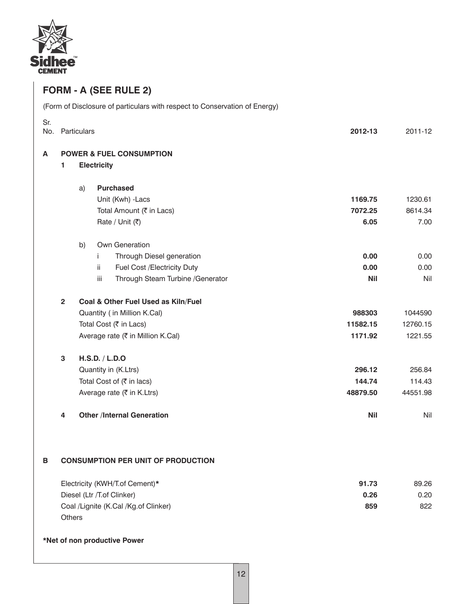

# **FORM - A (SEE RULE 2)**

(Form of Disclosure of particulars with respect to Conservation of Energy)

| Sr.<br>No. |                                          | Particulars |                    |                                           | 2012-13    | 2011-12  |  |  |
|------------|------------------------------------------|-------------|--------------------|-------------------------------------------|------------|----------|--|--|
|            | <b>POWER &amp; FUEL CONSUMPTION</b><br>A |             |                    |                                           |            |          |  |  |
|            | 1                                        |             | <b>Electricity</b> |                                           |            |          |  |  |
|            |                                          | a)          |                    | <b>Purchased</b>                          |            |          |  |  |
|            |                                          |             |                    | Unit (Kwh) -Lacs                          | 1169.75    | 1230.61  |  |  |
|            |                                          |             |                    | Total Amount (₹ in Lacs)                  | 7072.25    | 8614.34  |  |  |
|            |                                          |             |                    | Rate / Unit (₹)                           | 6.05       | 7.00     |  |  |
|            |                                          | b)          |                    | <b>Own Generation</b>                     |            |          |  |  |
|            |                                          |             | j.                 | Through Diesel generation                 | 0.00       | 0.00     |  |  |
|            |                                          |             | ii.                | Fuel Cost / Electricity Duty              | 0.00       | 0.00     |  |  |
|            |                                          |             | iii                | Through Steam Turbine / Generator         | <b>Nil</b> | Nil      |  |  |
|            | $\overline{2}$                           |             |                    | Coal & Other Fuel Used as Kiln/Fuel       |            |          |  |  |
|            |                                          |             |                    | Quantity ( in Million K.Cal)              | 988303     | 1044590  |  |  |
|            |                                          |             |                    | Total Cost (₹ in Lacs)                    | 11582.15   | 12760.15 |  |  |
|            |                                          |             |                    | Average rate (₹ in Million K.Cal)         | 1171.92    | 1221.55  |  |  |
|            | 3                                        |             |                    | H.S.D. / L.D.O                            |            |          |  |  |
|            |                                          |             |                    | Quantity in (K.Ltrs)                      | 296.12     | 256.84   |  |  |
|            |                                          |             |                    | Total Cost of (₹ in lacs)                 | 144.74     | 114.43   |  |  |
|            |                                          |             |                    | Average rate (₹ in K.Ltrs)                | 48879.50   | 44551.98 |  |  |
|            | 4                                        |             |                    | <b>Other /Internal Generation</b>         | <b>Nil</b> | Nil      |  |  |
| в          |                                          |             |                    | <b>CONSUMPTION PER UNIT OF PRODUCTION</b> |            |          |  |  |
|            |                                          |             |                    | Electricity (KWH/T.of Cement)*            | 91.73      | 89.26    |  |  |
|            |                                          |             |                    | Diesel (Ltr /T.of Clinker)                | 0.26       | 0.20     |  |  |
|            |                                          |             |                    | Coal /Lignite (K.Cal /Kg.of Clinker)      | 859        | 822      |  |  |
|            | Others                                   |             |                    |                                           |            |          |  |  |
|            |                                          |             |                    | *Net of non productive Power              |            |          |  |  |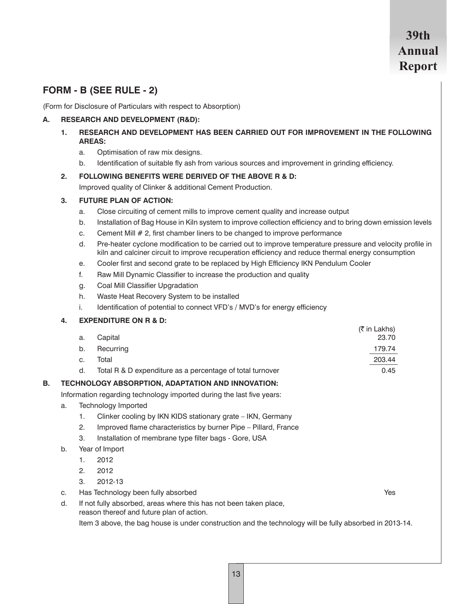# **FORM - B (SEE RULE - 2)**

(Form for Disclosure of Particulars with respect to Absorption)

#### **A. RESEARCH AND DEVELOPMENT (R&D):**

- **1. RESEARCH AND DEVELOPMENT HAS BEEN CARRIED OUT FOR IMPROVEMENT IN THE FOLLOWING AREAS:** 
	- a. Optimisation of raw mix designs.
	- b. Identification of suitable fly ash from various sources and improvement in grinding efficiency.

#### **2. FOLLOWING BENEFITS WERE DERIVED OF THE ABOVE R & D:**

Improved quality of Clinker & additional Cement Production.

#### **3. FUTURE PLAN OF ACTION:**

- a. Close circuiting of cement mills to improve cement quality and increase output
- b. Installation of Bag House in Kiln system to improve collection efficiency and to bring down emission levels
- c. Cement Mill  $# 2$ , first chamber liners to be changed to improve performance
- d. Pre-heater cyclone modification to be carried out to improve temperature pressure and velocity profile in kiln and calciner circuit to improve recuperation efficiency and reduce thermal energy consumption
- e. Cooler first and second grate to be replaced by High Efficiency IKN Pendulum Cooler
- f. Raw Mill Dynamic Classifier to increase the production and quality
- g. Coal Mill Classifier Upgradation
- h. Waste Heat Recovery System to be installed
- i. Identification of potential to connect VFD's / MVD's for energy efficiency

#### **4. EXPENDITURE ON R & D:**

|                |                                                           | (ই in Lakhs) |
|----------------|-----------------------------------------------------------|--------------|
| a.             | Capital                                                   | 23.70        |
| b.             | Recurrina                                                 | 179.74       |
| C <sub>1</sub> | Total                                                     | 203.44       |
| d.             | Total R & D expenditure as a percentage of total turnover | 0.45         |

#### **B. TECHNOLOGY ABSORPTION, ADAPTATION AND INNOVATION:**

Information regarding technology imported during the last five years:

- a. Technology Imported
	- 1. Clinker cooling by IKN KIDS stationary grate IKN, Germany
	- 2. Improved flame characteristics by burner Pipe Pillard, France
	- 3. Installation of membrane type filter bags Gore, USA
- b. Year of Import
	- 1. 2012
	- 2. 2012
	- 3. 2012-13
- c. Has Technology been fully absorbed  $\blacksquare$

d. If not fully absorbed, areas where this has not been taken place,

reason thereof and future plan of action.

Item 3 above, the bag house is under construction and the technology will be fully absorbed in 2013-14.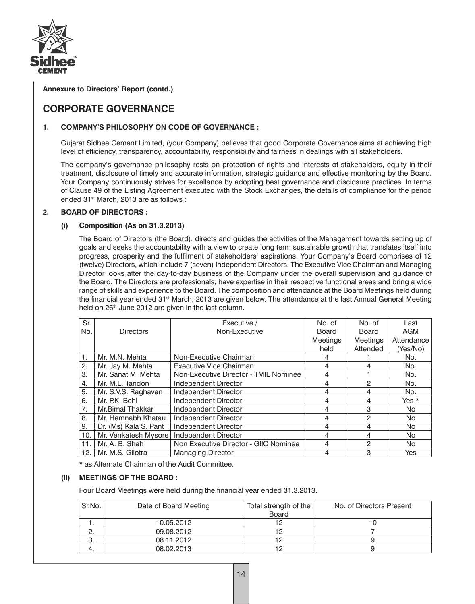

**Annexure to Directors' Report (contd.)**

## **CORPORATE GOVERNANCE**

#### **1. COMPANY'S PHILOSOPHY ON CODE OF GOVERNANCE :**

Gujarat Sidhee Cement Limited, (your Company) believes that good Corporate Governance aims at achieving high level of efficiency, transparency, accountability, responsibility and fairness in dealings with all stakeholders.

The company's governance philosophy rests on protection of rights and interests of stakeholders, equity in their treatment, disclosure of timely and accurate information, strategic guidance and effective monitoring by the Board. Your Company continuously strives for excellence by adopting best governance and disclosure practices. In terms of Clause 49 of the Listing Agreement executed with the Stock Exchanges, the details of compliance for the period ended 31<sup>st</sup> March, 2013 are as follows :

#### **2. BOARD OF DIRECTORS :**

#### **(i) Composition (As on 31.3.2013)**

The Board of Directors (the Board), directs and guides the activities of the Management towards setting up of goals and seeks the accountability with a view to create long term sustainable growth that translates itself into progress, prosperity and the fulfilment of stakeholders' aspirations. Your Company's Board comprises of 12 (twelve) Directors, which include 7 (seven) Independent Directors. The Executive Vice Chairman and Managing Director looks after the day-to-day business of the Company under the overall supervision and guidance of the Board. The Directors are professionals, have expertise in their respective functional areas and bring a wide range of skills and experience to the Board. The composition and attendance at the Board Meetings held during the financial year ended 31<sup>st</sup> March, 2013 are given below. The attendance at the last Annual General Meeting held on 26<sup>th</sup> June 2012 are given in the last column.

| Sr. |                       | Executive /                           | No. of   | No. of   | Last       |
|-----|-----------------------|---------------------------------------|----------|----------|------------|
| No. | <b>Directors</b>      | Non-Executive                         | Board    | Board    | AGM        |
|     |                       |                                       | Meetings | Meetings | Attendance |
|     |                       |                                       | held     | Attended | (Yes/No)   |
| 1.  | Mr. M.N. Mehta        | Non-Executive Chairman                | 4        |          | No.        |
| 2.  | Mr. Jav M. Mehta      | Executive Vice Chairman               | 4        | 4        | No.        |
| 3.  | Mr. Sanat M. Mehta    | Non-Executive Director - TMIL Nominee | 4        |          | No.        |
| 4.  | Mr. M.L. Tandon       | Independent Director                  | 4        | 2        | No.        |
| 5.  | Mr. S.V.S. Raghavan   | Independent Director                  | 4        | 4        | No.        |
| 6.  | Mr. P.K. Behl         | Independent Director                  | 4        | 4        | Yes $*$    |
| 7.  | Mr.Bimal Thakkar      | Independent Director                  | 4        | 3        | No.        |
| 8.  | Mr. Hemnabh Khatau    | Independent Director                  | 4        | 2        | No         |
| 9.  | Dr. (Ms) Kala S. Pant | Independent Director                  | 4        | 4        | No         |
| 10. | Mr. Venkatesh Mysore  | Independent Director                  | 4        | 4        | No         |
| 11. | Mr. A. B. Shah        | Non Executive Director - GIIC Nominee | 4        | 2        | No         |
| 12. | Mr. M.S. Gilotra      | <b>Managing Director</b>              | 4        | 3        | Yes        |

\* as Alternate Chairman of the Audit Committee.

#### **(ii) MEETINGS OF THE BOARD :**

Four Board Meetings were held during the financial year ended 31.3.2013.

| Sr.No. | Date of Board Meeting | Total strength of the | No. of Directors Present |
|--------|-----------------------|-----------------------|--------------------------|
|        |                       | <b>Board</b>          |                          |
|        | 10.05.2012            |                       |                          |
|        | 09.08.2012            |                       |                          |
| -3.    | 08.11.2012            |                       |                          |
|        | 08.02.2013            | ר 1                   |                          |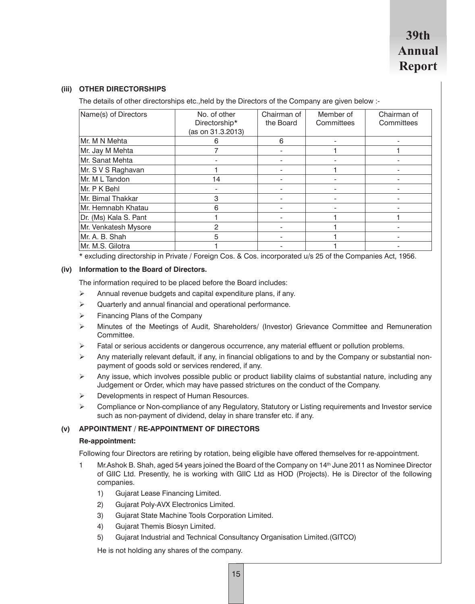#### **(iii) OTHER DIRECTORSHIPS**

The details of other directorships etc.,held by the Directors of the Company are given below :-

| Name(s) of Directors  | No. of other<br>Directorship*<br>(as on 31.3.2013) | Chairman of<br>the Board | Member of<br>Committees | Chairman of<br>Committees |
|-----------------------|----------------------------------------------------|--------------------------|-------------------------|---------------------------|
| Mr. M N Mehta         | 6                                                  | 6                        |                         |                           |
| Mr. Jay M Mehta       |                                                    |                          |                         |                           |
| Mr. Sanat Mehta       |                                                    |                          |                         |                           |
| Mr. S V S Raghavan    |                                                    |                          |                         |                           |
| Mr. M L Tandon        | 14                                                 |                          |                         |                           |
| Mr. P K Behl          |                                                    |                          |                         |                           |
| Mr. Bimal Thakkar     | 3                                                  |                          |                         |                           |
| Mr. Hemnabh Khatau    | 6                                                  |                          |                         |                           |
| Dr. (Ms) Kala S. Pant |                                                    |                          |                         |                           |
| Mr. Venkatesh Mysore  | 2                                                  |                          |                         |                           |
| Mr. A. B. Shah        | 5                                                  |                          |                         |                           |
| Mr. M.S. Gilotra      |                                                    |                          |                         |                           |

\* excluding directorship in Private / Foreign Cos. & Cos. incorporated u/s 25 of the Companies Act, 1956.

#### **(iv) Information to the Board of Directors.**

The information required to be placed before the Board includes:

- $\triangleright$  Annual revenue budgets and capital expenditure plans, if any.
- $\triangleright$  Quarterly and annual financial and operational performance.
- $\triangleright$  Financing Plans of the Company
- Minutes of the Meetings of Audit, Shareholders/ (Investor) Grievance Committee and Remuneration Committee.
- Fatal or serious accidents or dangerous occurrence, any material effluent or pollution problems.
- $\triangleright$  Any materially relevant default, if any, in financial obligations to and by the Company or substantial nonpayment of goods sold or services rendered, if any.
- $\triangleright$  Any issue, which involves possible public or product liability claims of substantial nature, including any Judgement or Order, which may have passed strictures on the conduct of the Company.
- **Developments in respect of Human Resources.**
- ▶ Compliance or Non-compliance of any Regulatory, Statutory or Listing requirements and Investor service such as non-payment of dividend, delay in share transfer etc. if any.

#### **(v) APPOINTMENT / RE-APPOINTMENT OF DIRECTORS**

#### **Re-appointment:**

Following four Directors are retiring by rotation, being eligible have offered themselves for re-appointment.

- 1 Mr.Ashok B. Shah, aged 54 years joined the Board of the Company on 14<sup>th</sup> June 2011 as Nominee Director of GIIC Ltd. Presently, he is working with GIIC Ltd as HOD (Projects). He is Director of the following companies.
	- 1) Gujarat Lease Financing Limited.
	- 2) Gujarat Poly-AVX Electronics Limited.
	- 3) Gujarat State Machine Tools Corporation Limited.
	- 4) Gujarat Themis Biosyn Limited.
	- 5) Gujarat Industrial and Technical Consultancy Organisation Limited.(GITCO)

He is not holding any shares of the company.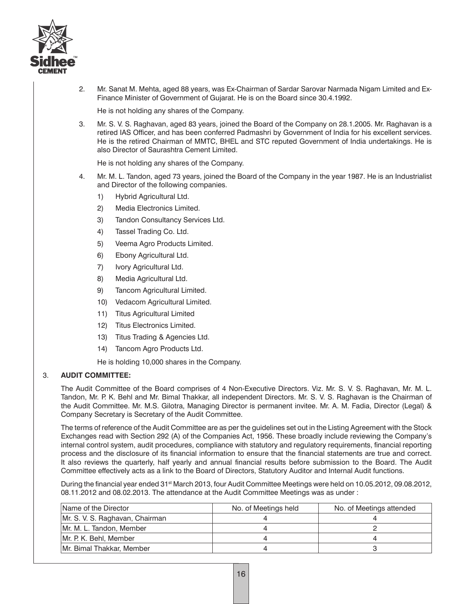

2. Mr. Sanat M. Mehta, aged 88 years, was Ex-Chairman of Sardar Sarovar Narmada Nigam Limited and Ex-Finance Minister of Government of Gujarat. He is on the Board since 30.4.1992.

He is not holding any shares of the Company.

3. Mr. S. V. S. Raghavan, aged 83 years, joined the Board of the Company on 28.1.2005. Mr. Raghavan is a retired IAS Officer, and has been conferred Padmashri by Government of India for his excellent services. He is the retired Chairman of MMTC, BHEL and STC reputed Government of India undertakings. He is also Director of Saurashtra Cement Limited.

He is not holding any shares of the Company.

- 4. Mr. M. L. Tandon, aged 73 years, joined the Board of the Company in the year 1987. He is an Industrialist and Director of the following companies.
	- 1) Hybrid Agricultural Ltd.
	- 2) Media Electronics Limited.
	- 3) Tandon Consultancy Services Ltd.
	- 4) Tassel Trading Co. Ltd.
	- 5) Veema Agro Products Limited.
	- 6) Ebony Agricultural Ltd.
	- 7) Ivory Agricultural Ltd.
	- 8) Media Agricultural Ltd.
	- 9) Tancom Agricultural Limited.
	- 10) Vedacom Agricultural Limited.
	- 11) Titus Agricultural Limited
	- 12) Titus Electronics Limited.
	- 13) Titus Trading & Agencies Ltd.
	- 14) Tancom Agro Products Ltd.

He is holding 10,000 shares in the Company.

#### 3. **AUDIT COMMITTEE:**

The Audit Committee of the Board comprises of 4 Non-Executive Directors. Viz. Mr. S. V. S. Raghavan, Mr. M. L. Tandon, Mr. P. K. Behl and Mr. Bimal Thakkar, all independent Directors. Mr. S. V. S. Raghavan is the Chairman of the Audit Committee. Mr. M.S. Gilotra, Managing Director is permanent invitee. Mr. A. M. Fadia, Director (Legal) & Company Secretary is Secretary of the Audit Committee.

The terms of reference of the Audit Committee are as per the guidelines set out in the Listing Agreement with the Stock Exchanges read with Section 292 (A) of the Companies Act, 1956. These broadly include reviewing the Company's internal control system, audit procedures, compliance with statutory and regulatory requirements, financial reporting process and the disclosure of its financial information to ensure that the financial statements are true and correct. It also reviews the quarterly, half yearly and annual financial results before submission to the Board. The Audit Committee effectively acts as a link to the Board of Directors, Statutory Auditor and Internal Audit functions.

During the financial year ended 31<sup>st</sup> March 2013, four Audit Committee Meetings were held on 10.05.2012, 09.08.2012, 08.11.2012 and 08.02.2013. The attendance at the Audit Committee Meetings was as under :

| Name of the Director            | No. of Meetings held | No. of Meetings attended |
|---------------------------------|----------------------|--------------------------|
| Mr. S. V. S. Raghavan, Chairman |                      |                          |
| Mr. M. L. Tandon, Member        |                      |                          |
| Mr. P. K. Behl, Member          |                      |                          |
| Mr. Bimal Thakkar, Member       |                      |                          |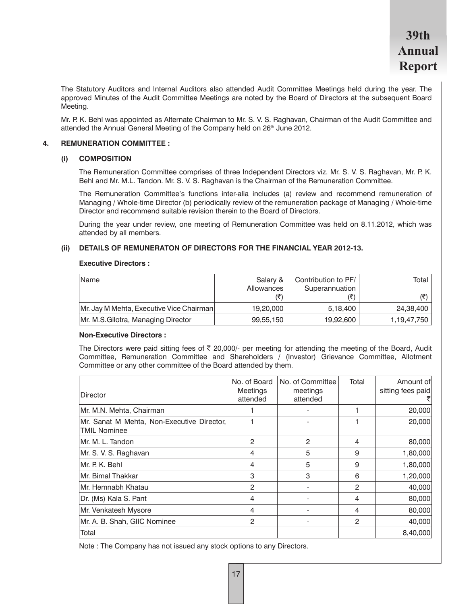The Statutory Auditors and Internal Auditors also attended Audit Committee Meetings held during the year. The approved Minutes of the Audit Committee Meetings are noted by the Board of Directors at the subsequent Board Meeting.

Mr. P. K. Behl was appointed as Alternate Chairman to Mr. S. V. S. Raghavan, Chairman of the Audit Committee and attended the Annual General Meeting of the Company held on 26<sup>th</sup> June 2012.

#### **4. REMUNERATION COMMITTEE :**

#### **(i) COMPOSITION**

The Remuneration Committee comprises of three Independent Directors viz. Mr. S. V. S. Raghavan, Mr. P. K. Behl and Mr. M.L. Tandon. Mr. S. V. S. Raghavan is the Chairman of the Remuneration Committee.

The Remuneration Committee's functions inter-alia includes (a) review and recommend remuneration of Managing / Whole-time Director (b) periodically review of the remuneration package of Managing / Whole-time Director and recommend suitable revision therein to the Board of Directors.

During the year under review, one meeting of Remuneration Committee was held on 8.11.2012, which was attended by all members.

#### **(ii) DETAILS OF REMUNERATON OF DIRECTORS FOR THE FINANCIAL YEAR 2012-13.**

#### **Executive Directors :**

| <b>Name</b>                              | Salary &   | Contribution to PF/ | Total I     |
|------------------------------------------|------------|---------------------|-------------|
|                                          | Allowances | Superannuation      |             |
|                                          |            |                     |             |
| Mr. Jay M Mehta, Executive Vice Chairman | 19,20,000  | 5.18.400            | 24,38,400   |
| Mr. M.S.Gilotra, Managing Director       | 99,55,150  | 19,92,600           | 1.19.47.750 |

#### **Non-Executive Directors :**

The Directors were paid sitting fees of  $\bar{\tau}$  20,000/- per meeting for attending the meeting of the Board, Audit Committee, Remuneration Committee and Shareholders / (Investor) Grievance Committee, Allotment Committee or any other committee of the Board attended by them.

| <b>Director</b>                                                   | No. of Board<br>Meetings<br>attended | No. of Committee<br>meetings<br>attended | Total          | Amount of<br>sitting fees paid |
|-------------------------------------------------------------------|--------------------------------------|------------------------------------------|----------------|--------------------------------|
| Mr. M.N. Mehta, Chairman                                          |                                      |                                          |                | 20,000                         |
| Mr. Sanat M Mehta, Non-Executive Director,<br><b>TMIL Nominee</b> |                                      |                                          |                | 20,000                         |
| Mr. M. L. Tandon                                                  | $\overline{2}$                       | $\overline{2}$                           | $\overline{4}$ | 80,000                         |
| Mr. S. V. S. Raghavan                                             | $\overline{4}$                       | 5                                        | 9              | 1,80,000                       |
| Mr. P. K. Behl                                                    | 4                                    | 5                                        | 9              | 1,80,000                       |
| Mr. Bimal Thakkar                                                 | 3                                    | 3                                        | 6              | 1,20,000                       |
| Mr. Hemnabh Khatau                                                | 2                                    |                                          | 2              | 40,000                         |
| Dr. (Ms) Kala S. Pant                                             | 4                                    |                                          | 4              | 80,000                         |
| Mr. Venkatesh Mysore                                              | 4                                    |                                          | 4              | 80,000                         |
| Mr. A. B. Shah, GIIC Nominee                                      | $\overline{2}$                       |                                          | $\overline{2}$ | 40,000                         |
| Total                                                             |                                      |                                          |                | 8,40,000                       |

Note : The Company has not issued any stock options to any Directors.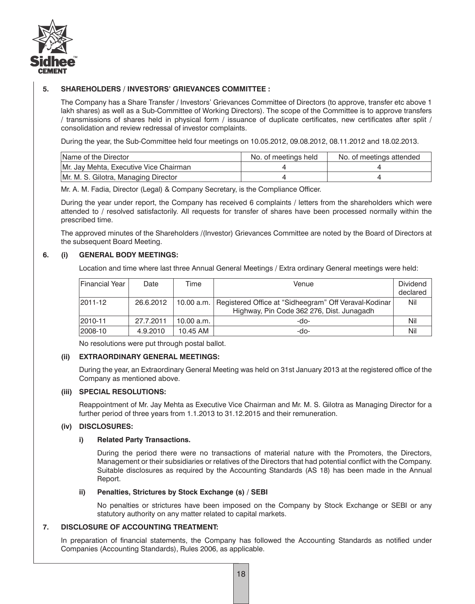

#### **5. SHAREHOLDERS / INVESTORS' GRIEVANCES COMMITTEE :**

The Company has a Share Transfer / Investors' Grievances Committee of Directors (to approve, transfer etc above 1 lakh shares) as well as a Sub-Committee of Working Directors). The scope of the Committee is to approve transfers / transmissions of shares held in physical form / issuance of duplicate certificates, new certificates after split / consolidation and review redressal of investor complaints.

During the year, the Sub-Committee held four meetings on 10.05.2012, 09.08.2012, 08.11.2012 and 18.02.2013.

| Name of the Director                   | No. of meetings held | No. of meetings attended |
|----------------------------------------|----------------------|--------------------------|
| Mr. Jay Mehta, Executive Vice Chairman |                      |                          |
| Mr. M. S. Gilotra, Managing Director   |                      |                          |

Mr. A. M. Fadia, Director (Legal) & Company Secretary, is the Compliance Officer.

During the year under report, the Company has received 6 complaints / letters from the shareholders which were attended to / resolved satisfactorily. All requests for transfer of shares have been processed normally within the prescribed time.

The approved minutes of the Shareholders /(Investor) Grievances Committee are noted by the Board of Directors at the subsequent Board Meeting.

#### **6. (i) GENERAL BODY MEETINGS:**

Location and time where last three Annual General Meetings / Extra ordinary General meetings were held:

| Financial Year | Date      | Time       | Venue                                                            | <b>Dividend</b> |
|----------------|-----------|------------|------------------------------------------------------------------|-----------------|
|                |           |            |                                                                  | declared        |
| 2011-12        | 26.6.2012 |            | 10.00 a.m. Registered Office at "Sidheegram" Off Veraval-Kodinar | Nil             |
|                |           |            | Highway, Pin Code 362 276, Dist. Junagadh                        |                 |
| 2010-11        | 27.7.2011 | 10.00 a.m. | -do-                                                             | Nil             |
| 2008-10        | 4.9.2010  | 10.45 AM   | -do-                                                             | Nil             |

No resolutions were put through postal ballot.

#### **(ii) EXTRAORDINARY GENERAL MEETINGS:**

During the year, an Extraordinary General Meeting was held on 31st January 2013 at the registered office of the Company as mentioned above.

#### **(iii) SPECIAL RESOLUTIONS:**

Reappointment of Mr. Jay Mehta as Executive Vice Chairman and Mr. M. S. Gilotra as Managing Director for a further period of three years from 1.1.2013 to 31.12.2015 and their remuneration.

#### **(iv) DISCLOSURES:**

#### **i) Related Party Transactions.**

During the period there were no transactions of material nature with the Promoters, the Directors, Management or their subsidiaries or relatives of the Directors that had potential conflict with the Company. Suitable disclosures as required by the Accounting Standards (AS 18) has been made in the Annual Report.

#### **ii) Penalties, Strictures by Stock Exchange (s) / SEBI**

No penalties or strictures have been imposed on the Company by Stock Exchange or SEBI or any statutory authority on any matter related to capital markets.

#### **7. DISCLOSURE OF ACCOUNTING TREATMENT:**

In preparation of financial statements, the Company has followed the Accounting Standards as notified under Companies (Accounting Standards), Rules 2006, as applicable.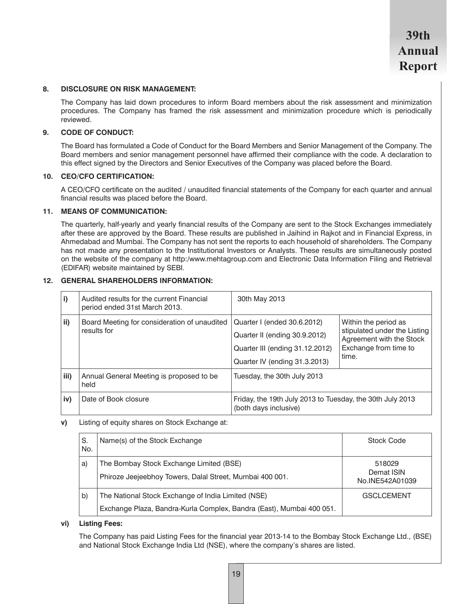#### **8. DISCLOSURE ON RISK MANAGEMENT:**

The Company has laid down procedures to inform Board members about the risk assessment and minimization procedures. The Company has framed the risk assessment and minimization procedure which is periodically reviewed.

#### **9. CODE OF CONDUCT:**

The Board has formulated a Code of Conduct for the Board Members and Senior Management of the Company. The Board members and senior management personnel have affirmed their compliance with the code. A declaration to this effect signed by the Directors and Senior Executives of the Company was placed before the Board.

#### **10. CEO/CFO CERTIFICATION:**

A CEO/CFO certificate on the audited / unaudited financial statements of the Company for each quarter and annual financial results was placed before the Board.

#### **11. MEANS OF COMMUNICATION:**

The quarterly, half-yearly and yearly financial results of the Company are sent to the Stock Exchanges immediately after these are approved by the Board. These results are published in Jaihind in Rajkot and in Financial Express, in Ahmedabad and Mumbai. The Company has not sent the reports to each household of shareholders. The Company has not made any presentation to the Institutional Investors or Analysts. These results are simultaneously posted on the website of the company at http:/www.mehtagroup.com and Electronic Data Information Filing and Retrieval (EDIFAR) website maintained by SEBI.

#### **12. GENERAL SHAREHOLDERS INFORMATION:**

| i)   | Audited results for the current Financial<br>period ended 31st March 2013. | 30th May 2013                                                                                                                    |                                                                                                                    |  |
|------|----------------------------------------------------------------------------|----------------------------------------------------------------------------------------------------------------------------------|--------------------------------------------------------------------------------------------------------------------|--|
| ii)  | Board Meeting for consideration of unaudited<br>results for                | Quarter I (ended 30.6.2012)<br>Quarter II (ending 30.9.2012)<br>Quarter III (ending 31.12.2012)<br>Quarter IV (ending 31.3.2013) | Within the period as<br>stipulated under the Listing<br>Agreement with the Stock<br>Exchange from time to<br>time. |  |
| iii) | Annual General Meeting is proposed to be<br>held                           | Tuesday, the 30th July 2013                                                                                                      |                                                                                                                    |  |
| iv)  | Date of Book closure                                                       | Friday, the 19th July 2013 to Tuesday, the 30th July 2013<br>(both days inclusive)                                               |                                                                                                                    |  |

#### **v)** Listing of equity shares on Stock Exchange at:

| S.<br>No. | Name(s) of the Stock Exchange                                                                                              | Stock Code                              |
|-----------|----------------------------------------------------------------------------------------------------------------------------|-----------------------------------------|
| a)        | The Bombay Stock Exchange Limited (BSE)<br>Phiroze Jeejeebhoy Towers, Dalal Street, Mumbai 400 001.                        | 518029<br>Demat ISIN<br>No.INE542A01039 |
| b)        | The National Stock Exchange of India Limited (NSE)<br>Exchange Plaza, Bandra-Kurla Complex, Bandra (East), Mumbai 400 051. | <b>GSCLCEMENT</b>                       |

#### **vi) Listing Fees:**

The Company has paid Listing Fees for the financial year 2013-14 to the Bombay Stock Exchange Ltd., (BSE) and National Stock Exchange India Ltd (NSE), where the company's shares are listed.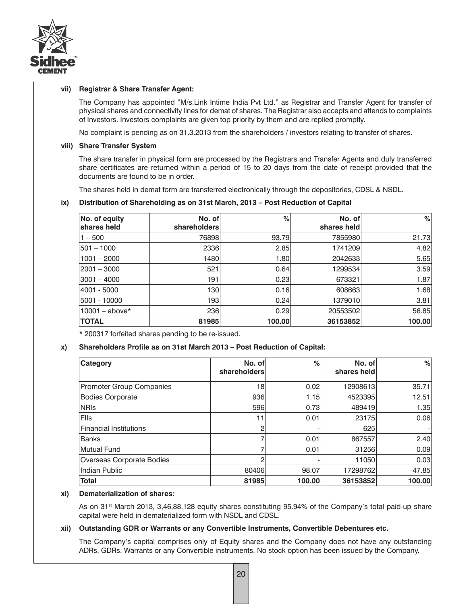

#### **vii) Registrar & Share Transfer Agent:**

The Company has appointed "M/s.Link Intime India Pvt Ltd." as Registrar and Transfer Agent for transfer of physical shares and connectivity lines for demat of shares. The Registrar also accepts and attends to complaints of Investors. Investors complaints are given top priority by them and are replied promptly.

No complaint is pending as on 31.3.2013 from the shareholders / investors relating to transfer of shares.

#### **viii) Share Transfer System**

The share transfer in physical form are processed by the Registrars and Transfer Agents and duly transferred share certificates are returned within a period of 15 to 20 days from the date of receipt provided that the documents are found to be in order.

The shares held in demat form are transferred electronically through the depositories, CDSL & NSDL.

#### **ix) Distribution of Shareholding as on 31st March, 2013 – Post Reduction of Capital**

| No. of equity<br>shares held | No. of<br>shareholders | %      | No. of<br>shares held | %      |
|------------------------------|------------------------|--------|-----------------------|--------|
|                              |                        |        |                       |        |
| $1 - 500$                    | 76898                  | 93.79  | 7855980               | 21.73  |
| $ 501 - 1000$                | 2336                   | 2.85   | 1741209               | 4.82   |
| $1001 - 2000$                | 1480                   | 1.80   | 2042633               | 5.65   |
| $ 2001 - 3000 $              | 521                    | 0.64   | 1299534               | 3.59   |
| $ 3001 - 4000 $              | 191                    | 0.23   | 673321                | 1.87   |
| 4001 - 5000                  | 130                    | 0.16   | 608663                | 1.68   |
| 5001 - 10000                 | 193                    | 0.24   | 1379010               | 3.81   |
| $10001 - above*$             | 236                    | 0.29   | 20553502              | 56.85  |
| <b>TOTAL</b>                 | 81985                  | 100.00 | 36153852              | 100.00 |

\* 200317 forfeited shares pending to be re-issued.

#### **x) Shareholders Profile as on 31st March 2013 – Post Reduction of Capital:**

| Category                        | No. of       | %      | No. of      | %      |
|---------------------------------|--------------|--------|-------------|--------|
|                                 | shareholders |        | shares held |        |
| <b>Promoter Group Companies</b> | 18           | 0.02   | 12908613    | 35.71  |
| <b>Bodies Corporate</b>         | 936          | 1.15   | 4523395     | 12.51  |
| <b>NRIS</b>                     | 596          | 0.73   | 489419      | 1.35   |
| Flls                            | 11           | 0.01   | 23175       | 0.06   |
| <b>Financial Institutions</b>   | 2            |        | 625         |        |
| <b>Banks</b>                    | ⇁            | 0.01   | 867557      | 2.40   |
| <b>Mutual Fund</b>              | ⇁            | 0.01   | 31256       | 0.09   |
| Overseas Corporate Bodies       | 2            |        | 11050       | 0.03   |
| Indian Public                   | 80406        | 98.07  | 17298762    | 47.85  |
| <b>Total</b>                    | 81985        | 100,00 | 36153852    | 100.00 |

#### **xi) Dematerialization of shares:**

As on 31st March 2013, 3,46,88,128 equity shares constituting 95.94% of the Company's total paid-up share capital were held in dematerialized form with NSDL and CDSL.

#### **xii) Outstanding GDR or Warrants or any Convertible Instruments, Convertible Debentures etc.**

The Company's capital comprises only of Equity shares and the Company does not have any outstanding ADRs, GDRs, Warrants or any Convertible instruments. No stock option has been issued by the Company.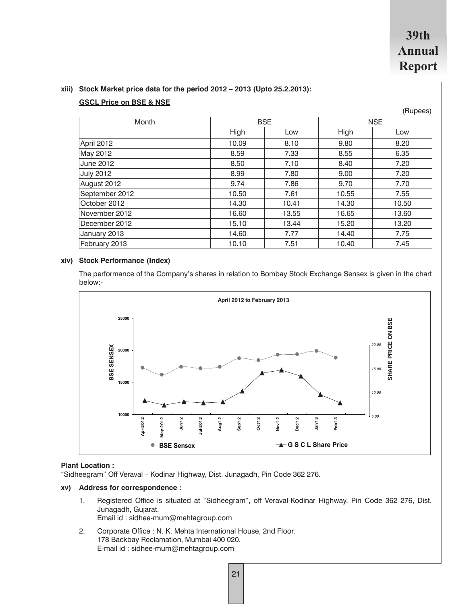#### **xiii) Stock Market price data for the period 2012 – 2013 (Upto 25.2.2013):**

#### **GSCL Price on BSE & NSE**

|                  |            |       |            | (Rupees) |
|------------------|------------|-------|------------|----------|
| Month            | <b>BSE</b> |       | <b>NSE</b> |          |
|                  | High       | Low   | High       | Low      |
| April 2012       | 10.09      | 8.10  | 9.80       | 8.20     |
| May 2012         | 8.59       | 7.33  | 8.55       | 6.35     |
| <b>June 2012</b> | 8.50       | 7.10  | 8.40       | 7.20     |
| <b>July 2012</b> | 8.99       | 7.80  | 9.00       | 7.20     |
| August 2012      | 9.74       | 7.86  | 9.70       | 7.70     |
| September 2012   | 10.50      | 7.61  | 10.55      | 7.55     |
| October 2012     | 14.30      | 10.41 | 14.30      | 10.50    |
| November 2012    | 16.60      | 13.55 | 16.65      | 13.60    |
| December 2012    | 15.10      | 13.44 | 15.20      | 13.20    |
| January 2013     | 14.60      | 7.77  | 14.40      | 7.75     |
| February 2013    | 10.10      | 7.51  | 10.40      | 7.45     |

#### **xiv) Stock Performance (Index)**

The performance of the Company's shares in relation to Bombay Stock Exchange Sensex is given in the chart below:-



#### **Plant Location :**

"Sidheegram" Off Veraval – Kodinar Highway, Dist. Junagadh, Pin Code 362 276.

#### **xv) Address for correspondence :**

- 1. Registered Office is situated at "Sidheegram", off Veraval-Kodinar Highway, Pin Code 362 276, Dist. Junagadh, Gujarat. Email id : sidhee-mum@mehtagroup.com
- 2. Corporate Office : N. K. Mehta International House, 2nd Floor, 178 Backbay Reclamation, Mumbai 400 020. E-mail id : sidhee-mum@mehtagroup.com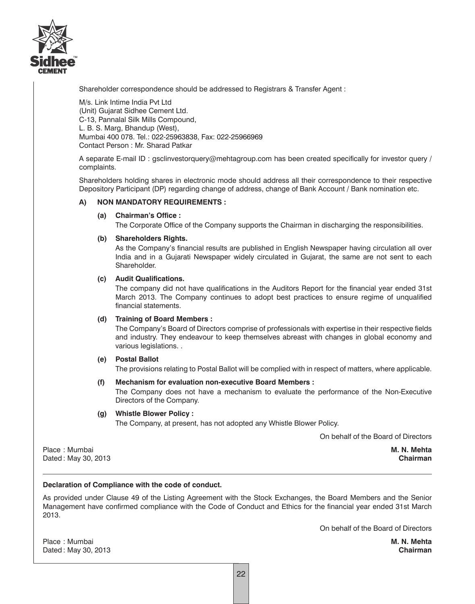

Shareholder correspondence should be addressed to Registrars & Transfer Agent :

M/s. Link Intime India Pvt Ltd (Unit) Gujarat Sidhee Cement Ltd. C-13, Pannalal Silk Mills Compound, L. B. S. Marg, Bhandup (West), Mumbai 400 078. Tel.: 022-25963838, Fax: 022-25966969 Contact Person : Mr. Sharad Patkar

A separate E-mail ID : gsclinvestorquery@mehtagroup.com has been created specifically for investor query / complaints.

Shareholders holding shares in electronic mode should address all their correspondence to their respective Depository Participant (DP) regarding change of address, change of Bank Account / Bank nomination etc.

#### **A) NON MANDATORY REQUIREMENTS :**

#### **(a) Chairman's Office :**

The Corporate Office of the Company supports the Chairman in discharging the responsibilities.

#### **(b) Shareholders Rights.**

As the Company's financial results are published in English Newspaper having circulation all over India and in a Gujarati Newspaper widely circulated in Gujarat, the same are not sent to each Shareholder.

#### **(c) Audit Qualifications.**

The company did not have qualifications in the Auditors Report for the financial year ended 31st March 2013. The Company continues to adopt best practices to ensure regime of unqualified financial statements.

#### **(d) Training of Board Members :**

The Company's Board of Directors comprise of professionals with expertise in their respective fields and industry. They endeavour to keep themselves abreast with changes in global economy and various legislations. .

#### **(e) Postal Ballot**

The provisions relating to Postal Ballot will be complied with in respect of matters, where applicable.

#### **(f) Mechanism for evaluation non-executive Board Members :**

The Company does not have a mechanism to evaluate the performance of the Non-Executive Directors of the Company.

#### **(g) Whistle Blower Policy :**

The Company, at present, has not adopted any Whistle Blower Policy.

On behalf of the Board of Directors

Place : Mumbai **M. N. Mehta** Dated : May 30, 2013 **Chairman**

#### **Declaration of Compliance with the code of conduct.**

As provided under Clause 49 of the Listing Agreement with the Stock Exchanges, the Board Members and the Senior Management have confirmed compliance with the Code of Conduct and Ethics for the financial year ended 31st March 2013.

On behalf of the Board of Directors

Place : Mumbai **M. N. Mehta** Dated : May 30, 2013 **Chairman**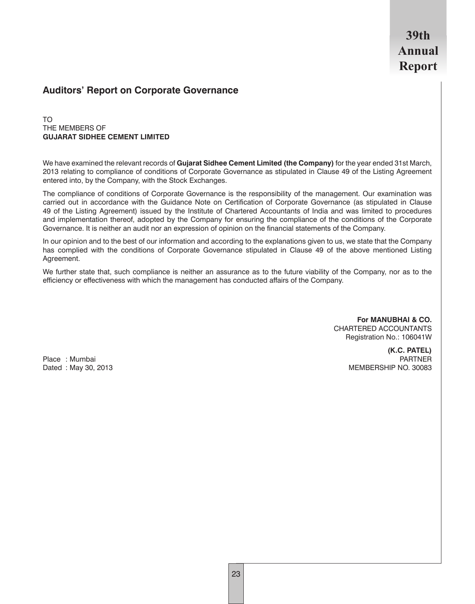# **39th Annual Report**

## **Auditors' Report on Corporate Governance**

#### TO THE MEMBERS OF **GUJARAT SIDHEE CEMENT LIMITED**

We have examined the relevant records of **Gujarat Sidhee Cement Limited (the Company)** for the year ended 31st March, 2013 relating to compliance of conditions of Corporate Governance as stipulated in Clause 49 of the Listing Agreement entered into, by the Company, with the Stock Exchanges.

The compliance of conditions of Corporate Governance is the responsibility of the management. Our examination was carried out in accordance with the Guidance Note on Certification of Corporate Governance (as stipulated in Clause 49 of the Listing Agreement) issued by the Institute of Chartered Accountants of India and was limited to procedures and implementation thereof, adopted by the Company for ensuring the compliance of the conditions of the Corporate Governance. It is neither an audit nor an expression of opinion on the financial statements of the Company.

In our opinion and to the best of our information and according to the explanations given to us, we state that the Company has complied with the conditions of Corporate Governance stipulated in Clause 49 of the above mentioned Listing Agreement.

We further state that, such compliance is neither an assurance as to the future viability of the Company, nor as to the efficiency or effectiveness with which the management has conducted affairs of the Company.

> **For MANUBHAI & CO.** CHARTERED ACCOUNTANTS Registration No.: 106041W

Dated : May 30, 2013

 **(K.C. PATEL)** Place : Mumbai PARTNER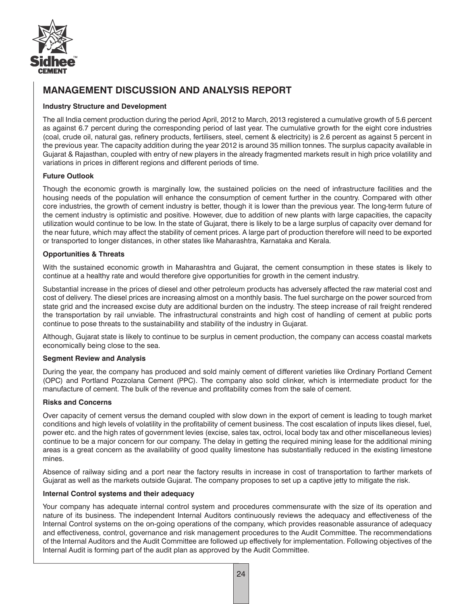

## **MANAGEMENT DISCUSSION AND ANALYSIS REPORT**

#### **Industry Structure and Development**

The all India cement production during the period April, 2012 to March, 2013 registered a cumulative growth of 5.6 percent as against 6.7 percent during the corresponding period of last year. The cumulative growth for the eight core industries (coal, crude oil, natural gas, refinery products, fertilisers, steel, cement & electricity) is 2.6 percent as against 5 percent in the previous year. The capacity addition during the year 2012 is around 35 million tonnes. The surplus capacity available in Gujarat & Rajasthan, coupled with entry of new players in the already fragmented markets result in high price volatility and variations in prices in different regions and different periods of time.

#### **Future Outlook**

Though the economic growth is marginally low, the sustained policies on the need of infrastructure facilities and the housing needs of the population will enhance the consumption of cement further in the country. Compared with other core industries, the growth of cement industry is better, though it is lower than the previous year. The long-term future of the cement industry is optimistic and positive. However, due to addition of new plants with large capacities, the capacity utilization would continue to be low. In the state of Gujarat, there is likely to be a large surplus of capacity over demand for the near future, which may affect the stability of cement prices. A large part of production therefore will need to be exported or transported to longer distances, in other states like Maharashtra, Karnataka and Kerala.

#### **Opportunities & Threats**

With the sustained economic growth in Maharashtra and Gujarat, the cement consumption in these states is likely to continue at a healthy rate and would therefore give opportunities for growth in the cement industry.

Substantial increase in the prices of diesel and other petroleum products has adversely affected the raw material cost and cost of delivery. The diesel prices are increasing almost on a monthly basis. The fuel surcharge on the power sourced from state grid and the increased excise duty are additional burden on the industry. The steep increase of rail freight rendered the transportation by rail unviable. The infrastructural constraints and high cost of handling of cement at public ports continue to pose threats to the sustainability and stability of the industry in Gujarat.

Although, Gujarat state is likely to continue to be surplus in cement production, the company can access coastal markets economically being close to the sea.

#### **Segment Review and Analysis**

During the year, the company has produced and sold mainly cement of different varieties like Ordinary Portland Cement (OPC) and Portland Pozzolana Cement (PPC). The company also sold clinker, which is intermediate product for the manufacture of cement. The bulk of the revenue and profitability comes from the sale of cement.

#### **Risks and Concerns**

Over capacity of cement versus the demand coupled with slow down in the export of cement is leading to tough market conditions and high levels of volatility in the profitability of cement business. The cost escalation of inputs likes diesel, fuel, power etc. and the high rates of government levies (excise, sales tax, octroi, local body tax and other miscellaneous levies) continue to be a major concern for our company. The delay in getting the required mining lease for the additional mining areas is a great concern as the availability of good quality limestone has substantially reduced in the existing limestone mines.

Absence of railway siding and a port near the factory results in increase in cost of transportation to farther markets of Gujarat as well as the markets outside Gujarat. The company proposes to set up a captive jetty to mitigate the risk.

#### **Internal Control systems and their adequacy**

Your company has adequate internal control system and procedures commensurate with the size of its operation and nature of its business. The independent Internal Auditors continuously reviews the adequacy and effectiveness of the Internal Control systems on the on-going operations of the company, which provides reasonable assurance of adequacy and effectiveness, control, governance and risk management procedures to the Audit Committee. The recommendations of the Internal Auditors and the Audit Committee are followed up effectively for implementation. Following objectives of the Internal Audit is forming part of the audit plan as approved by the Audit Committee.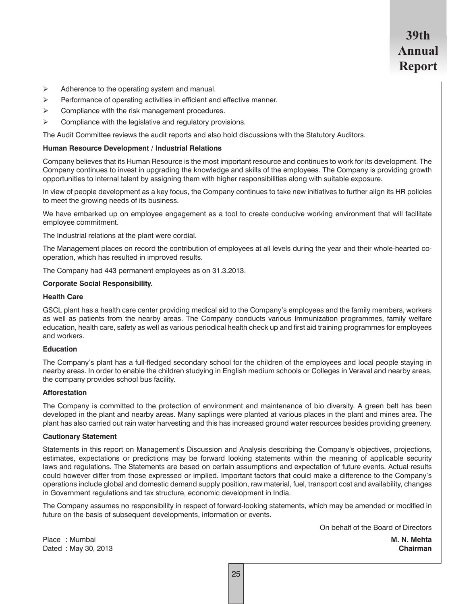# **39th Annual Report**

- Adherence to the operating system and manual.
- $\triangleright$  Performance of operating activities in efficient and effective manner.
- $\triangleright$  Compliance with the risk management procedures.
- $\triangleright$  Compliance with the legislative and regulatory provisions.

The Audit Committee reviews the audit reports and also hold discussions with the Statutory Auditors.

#### **Human Resource Development / Industrial Relations**

Company believes that its Human Resource is the most important resource and continues to work for its development. The Company continues to invest in upgrading the knowledge and skills of the employees. The Company is providing growth opportunities to internal talent by assigning them with higher responsibilities along with suitable exposure.

In view of people development as a key focus, the Company continues to take new initiatives to further align its HR policies to meet the growing needs of its business.

We have embarked up on employee engagement as a tool to create conducive working environment that will facilitate employee commitment.

The Industrial relations at the plant were cordial.

The Management places on record the contribution of employees at all levels during the year and their whole-hearted cooperation, which has resulted in improved results.

The Company had 443 permanent employees as on 31.3.2013.

#### **Corporate Social Responsibility.**

#### **Health Care**

GSCL plant has a health care center providing medical aid to the Company's employees and the family members, workers as well as patients from the nearby areas. The Company conducts various Immunization programmes, family welfare education, health care, safety as well as various periodical health check up and first aid training programmes for employees and workers.

#### **Education**

The Company's plant has a full-fledged secondary school for the children of the employees and local people staying in nearby areas. In order to enable the children studying in English medium schools or Colleges in Veraval and nearby areas, the company provides school bus facility.

#### **Afforestation**

The Company is committed to the protection of environment and maintenance of bio diversity. A green belt has been developed in the plant and nearby areas. Many saplings were planted at various places in the plant and mines area. The plant has also carried out rain water harvesting and this has increased ground water resources besides providing greenery.

#### **Cautionary Statement**

Statements in this report on Management's Discussion and Analysis describing the Company's objectives, projections, estimates, expectations or predictions may be forward looking statements within the meaning of applicable security laws and regulations. The Statements are based on certain assumptions and expectation of future events. Actual results could however differ from those expressed or implied. Important factors that could make a difference to the Company's operations include global and domestic demand supply position, raw material, fuel, transport cost and availability, changes in Government regulations and tax structure, economic development in India.

The Company assumes no responsibility in respect of forward-looking statements, which may be amended or modified in future on the basis of subsequent developments, information or events.

On behalf of the Board of Directors

Place : Mumbai **M. N. Mehta** Dated : May 30, 2013 **Chairman**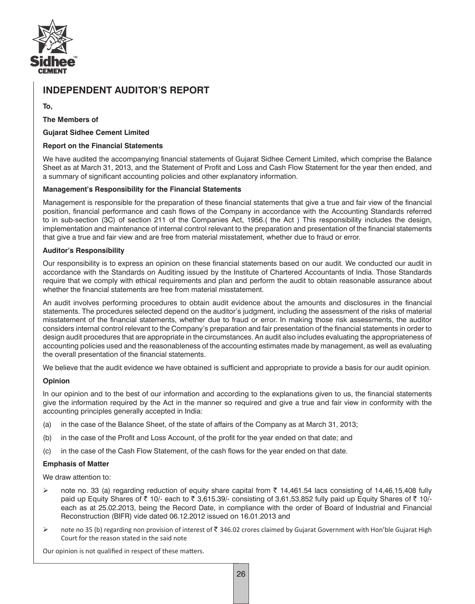

# **INDEPENDENT AUDITOR'S REPORT**

**To,**

**The Members of** 

#### **Gujarat Sidhee Cement Limited**

#### **Report on the Financial Statements**

We have audited the accompanying financial statements of Gujarat Sidhee Cement Limited, which comprise the Balance Sheet as at March 31, 2013, and the Statement of Profit and Loss and Cash Flow Statement for the year then ended, and a summary of significant accounting policies and other explanatory information.

#### **Management's Responsibility for the Financial Statements**

Management is responsible for the preparation of these financial statements that give a true and fair view of the financial position, financial performance and cash flows of the Company in accordance with the Accounting Standards referred to in sub-section (3C) of section 211 of the Companies Act, 1956.( the Act ) This responsibility includes the design, implementation and maintenance of internal control relevant to the preparation and presentation of the financial statements that give a true and fair view and are free from material misstatement, whether due to fraud or error.

#### **Auditor's Responsibility**

Our responsibility is to express an opinion on these financial statements based on our audit. We conducted our audit in accordance with the Standards on Auditing issued by the Institute of Chartered Accountants of India. Those Standards require that we comply with ethical requirements and plan and perform the audit to obtain reasonable assurance about whether the financial statements are free from material misstatement.

An audit involves performing procedures to obtain audit evidence about the amounts and disclosures in the financial statements. The procedures selected depend on the auditor's judgment, including the assessment of the risks of material misstatement of the financial statements, whether due to fraud or error. In making those risk assessments, the auditor considers internal control relevant to the Company's preparation and fair presentation of the financial statements in order to design audit procedures that are appropriate in the circumstances. An audit also includes evaluating the appropriateness of accounting policies used and the reasonableness of the accounting estimates made by management, as well as evaluating the overall presentation of the financial statements.

We believe that the audit evidence we have obtained is sufficient and appropriate to provide a basis for our audit opinion.

#### **Opinion**

In our opinion and to the best of our information and according to the explanations given to us, the financial statements give the information required by the Act in the manner so required and give a true and fair view in conformity with the accounting principles generally accepted in India:

- (a) in the case of the Balance Sheet, of the state of affairs of the Company as at March 31, 2013;
- (b) in the case of the Profit and Loss Account, of the profit for the year ended on that date; and
- (c) in the case of the Cash Flow Statement, of the cash flows for the year ended on that date.

#### **Emphasis of Matter**

We draw attention to:

- note no. 33 (a) regarding reduction of equity share capital from  $\bar{\tau}$  14,461.54 lacs consisting of 14,46,15,408 fully paid up Equity Shares of  $\bar{\tau}$  10/- each to  $\bar{\tau}$  3,615.39/- consisting of 3,61,53,852 fully paid up Equity Shares of  $\bar{\tau}$  10/each as at 25.02.2013, being the Record Date, in compliance with the order of Board of Industrial and Financial Reconstruction (BIFR) vide dated 06.12.2012 issued on 16.01.2013 and
- note no 35 (b) regarding non provision of interest of  $\bar{z}$  346.02 crores claimed by Gujarat Government with Hon'ble Gujarat High Court for the reason stated in the said note

Our opinion is not qualified in respect of these matters.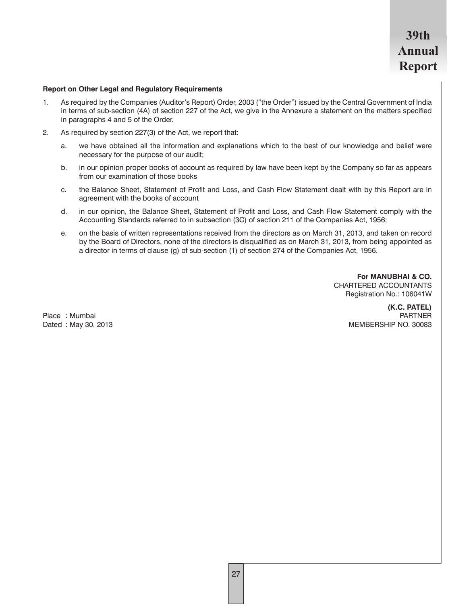#### **Report on Other Legal and Regulatory Requirements**

- 1. As required by the Companies (Auditor's Report) Order, 2003 ("the Order") issued by the Central Government of India in terms of sub-section (4A) of section 227 of the Act, we give in the Annexure a statement on the matters specified in paragraphs 4 and 5 of the Order.
- 2. As required by section 227(3) of the Act, we report that:
	- a. we have obtained all the information and explanations which to the best of our knowledge and belief were necessary for the purpose of our audit;
	- b. in our opinion proper books of account as required by law have been kept by the Company so far as appears from our examination of those books
	- c. the Balance Sheet, Statement of Profit and Loss, and Cash Flow Statement dealt with by this Report are in agreement with the books of account
	- d. in our opinion, the Balance Sheet, Statement of Profit and Loss, and Cash Flow Statement comply with the Accounting Standards referred to in subsection (3C) of section 211 of the Companies Act, 1956;
	- e. on the basis of written representations received from the directors as on March 31, 2013, and taken on record by the Board of Directors, none of the directors is disqualified as on March 31, 2013, from being appointed as a director in terms of clause (g) of sub-section (1) of section 274 of the Companies Act, 1956.

**For MANUBHAI & CO.** CHARTERED ACCOUNTANTS Registration No.: 106041W

 **(K.C. PATEL)** Place : Mumbai Partners et al. 2009 et al. 2009 et al. 2009 et al. 2009 et al. 2009 et al. 2009 et al. 2009 et Dated : May 30, 2013 **MEMBERSHIP NO. 30083**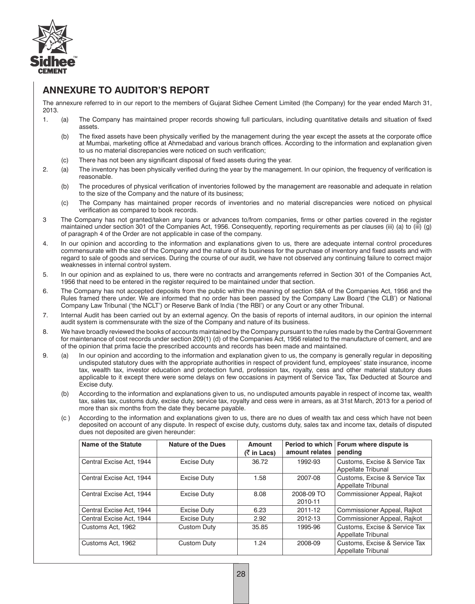

## **ANNEXURE TO AUDITOR'S REPORT**

The annexure referred to in our report to the members of Gujarat Sidhee Cement Limited (the Company) for the year ended March 31, 2013.

- 1. (a) The Company has maintained proper records showing full particulars, including quantitative details and situation of fixed assets.
	- (b) The fixed assets have been physically verified by the management during the year except the assets at the corporate office at Mumbai, marketing office at Ahmedabad and various branch offices. According to the information and explanation given to us no material discrepancies were noticed on such verification;
	- (c) There has not been any significant disposal of fixed assets during the year.
- 2. (a) The inventory has been physically verified during the year by the management. In our opinion, the frequency of verification is reasonable.
	- (b) The procedures of physical verification of inventories followed by the management are reasonable and adequate in relation to the size of the Company and the nature of its business;
	- (c) The Company has maintained proper records of inventories and no material discrepancies were noticed on physical verification as compared to book records.
- 3 The Company has not granted/taken any loans or advances to/from companies, firms or other parties covered in the register maintained under section 301 of the Companies Act, 1956. Consequently, reporting requirements as per clauses (iii) (a) to (iii) (g) of paragraph 4 of the Order are not applicable in case of the company.
- 4. In our opinion and according to the information and explanations given to us, there are adequate internal control procedures commensurate with the size of the Company and the nature of its business for the purchase of inventory and fixed assets and with regard to sale of goods and services. During the course of our audit, we have not observed any continuing failure to correct major weaknesses in internal control system.
- 5. In our opinion and as explained to us, there were no contracts and arrangements referred in Section 301 of the Companies Act, 1956 that need to be entered in the register required to be maintained under that section.
- 6. The Company has not accepted deposits from the public within the meaning of section 58A of the Companies Act, 1956 and the Rules framed there under. We are informed that no order has been passed by the Company Law Board ('the CLB') or National Company Law Tribunal ('the NCLT') or Reserve Bank of India ('the RBI') or any Court or any other Tribunal.
- 7. Internal Audit has been carried out by an external agency. On the basis of reports of internal auditors, in our opinion the internal audit system is commensurate with the size of the Company and nature of its business.
- 8. We have broadly reviewed the books of accounts maintained by the Company pursuant to the rules made by the Central Government for maintenance of cost records under section 209(1) (d) of the Companies Act, 1956 related to the manufacture of cement, and are of the opinion that prima facie the prescribed accounts and records has been made and maintained.
- 9. (a) In our opinion and according to the information and explanation given to us, the company is generally regular in depositing undisputed statutory dues with the appropriate authorities in respect of provident fund, employees' state insurance, income tax, wealth tax, investor education and protection fund, profession tax, royalty, cess and other material statutory dues applicable to it except there were some delays on few occasions in payment of Service Tax, Tax Deducted at Source and Excise duty.
	- (b) According to the information and explanations given to us, no undisputed amounts payable in respect of income tax, wealth tax, sales tax, customs duty, excise duty, service tax, royalty and cess were in arrears, as at 31st March, 2013 for a period of more than six months from the date they became payable.
	- (c ) According to the information and explanations given to us, there are no dues of wealth tax and cess which have not been deposited on account of any dispute. In respect of excise duty, customs duty, sales tax and income tax, details of disputed dues not deposited are given hereunder:

| Name of the Statute      | <b>Nature of the Dues</b> | <b>Amount</b><br>$(\bar{\bar{\mathcal{K}}}$ in Lacs) | Period to which<br>amount relates | Forum where dispute is<br>pending                   |
|--------------------------|---------------------------|------------------------------------------------------|-----------------------------------|-----------------------------------------------------|
| Central Excise Act. 1944 | <b>Excise Duty</b>        | 36.72                                                | 1992-93                           | Customs, Excise & Service Tax<br>Appellate Tribunal |
| Central Excise Act. 1944 | <b>Excise Duty</b>        | 1.58                                                 | 2007-08                           | Customs, Excise & Service Tax<br>Appellate Tribunal |
| Central Excise Act. 1944 | <b>Excise Duty</b>        | 8.08                                                 | 2008-09 TO<br>2010-11             | Commissioner Appeal, Rajkot                         |
| Central Excise Act, 1944 | Excise Duty               | 6.23                                                 | 2011-12                           | Commissioner Appeal, Rajkot                         |
| Central Excise Act. 1944 | <b>Excise Duty</b>        | 2.92                                                 | 2012-13                           | Commissioner Appeal, Rajkot                         |
| Customs Act. 1962        | Custom Duty               | 35.85                                                | 1995-96                           | Customs, Excise & Service Tax<br>Appellate Tribunal |
| Customs Act. 1962        | Custom Duty               | 1.24                                                 | 2008-09                           | Customs, Excise & Service Tax<br>Appellate Tribunal |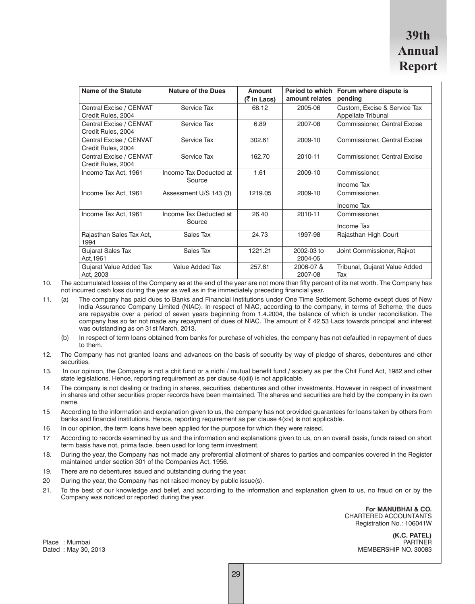# **39th Annual Report**

| <b>Name of the Statute</b>                    | <b>Nature of the Dues</b>        | <b>Amount</b>                       | Period to which       | Forum where dispute is                             |  |
|-----------------------------------------------|----------------------------------|-------------------------------------|-----------------------|----------------------------------------------------|--|
|                                               |                                  | $(\bar{\bar{\mathcal{K}}}$ in Lacs) | amount relates        | pending                                            |  |
| Central Excise / CENVAT<br>Credit Rules, 2004 | Service Tax                      | 68.12                               | 2005-06               | Custom, Excise & Service Tax<br>Appellate Tribunal |  |
| Central Excise / CENVAT<br>Credit Rules, 2004 | Service Tax                      | 6.89                                | 2007-08               | Commissioner, Central Excise                       |  |
| Central Excise / CENVAT<br>Credit Rules, 2004 | Service Tax                      | 302.61                              | 2009-10               | Commissioner, Central Excise                       |  |
| Central Excise / CENVAT<br>Credit Rules, 2004 | Service Tax                      | 162.70                              | 2010-11               | Commissioner, Central Excise                       |  |
| Income Tax Act, 1961                          | Income Tax Deducted at<br>Source | 1.61                                | 2009-10               | Commissioner.<br>Income Tax                        |  |
| Income Tax Act, 1961                          | Assessment U/S 143 (3)           | 1219.05                             | 2009-10               | Commissioner.<br>Income Tax                        |  |
| Income Tax Act, 1961                          | Income Tax Deducted at<br>Source | 26.40                               | 2010-11               | Commissioner,<br>Income Tax                        |  |
| Rajasthan Sales Tax Act,<br>1994              | Sales Tax                        | 24.73                               | 1997-98               | Rajasthan High Court                               |  |
| Gujarat Sales Tax<br>Act, 1961                | Sales Tax                        | 1221.21                             | 2002-03 to<br>2004-05 | Joint Commissioner, Rajkot                         |  |
| Gujarat Value Added Tax<br>Act, 2003          | Value Added Tax                  | 257.61                              | 2006-07 &<br>2007-08  | Tribunal, Gujarat Value Added<br>Tax               |  |

10. The accumulated losses of the Company as at the end of the year are not more than fifty percent of its net worth. The Company has not incurred cash loss during the year as well as in the immediately preceding financial year**.**

- 11. (a) The company has paid dues to Banks and Financial Institutions under One Time Settlement Scheme except dues of New India Assurance Company Limited (NIAC). In respect of NIAC, according to the company, in terms of Scheme, the dues are repayable over a period of seven years beginning from 1.4.2004, the balance of which is under reconciliation. The company has so far not made any repayment of dues of NIAC. The amount of  $\bar{\tau}$  42.53 Lacs towards principal and interest was outstanding as on 31st March, 2013.
	- (b) In respect of term loans obtained from banks for purchase of vehicles, the company has not defaulted in repayment of dues to them.
- 12. The Company has not granted loans and advances on the basis of security by way of pledge of shares, debentures and other securities.
- 13. In our opinion, the Company is not a chit fund or a nidhi / mutual benefit fund / society as per the Chit Fund Act, 1982 and other state legislations. Hence, reporting requirement as per clause 4(xiii) is not applicable.
- 14 The company is not dealing or trading in shares, securities, debentures and other investments. However in respect of investment in shares and other securities proper records have been maintained. The shares and securities are held by the company in its own name.
- 15 According to the information and explanation given to us, the company has not provided guarantees for loans taken by others from banks and financial institutions. Hence, reporting requirement as per clause 4(xiv) is not applicable.
- 16 In our opinion, the term loans have been applied for the purpose for which they were raised.
- 17 According to records examined by us and the information and explanations given to us, on an overall basis, funds raised on short term basis have not, prima facie, been used for long term investment.
- 18. During the year, the Company has not made any preferential allotment of shares to parties and companies covered in the Register maintained under section 301 of the Companies Act, 1956.
- 19. There are no debentures issued and outstanding during the year.
- 20 During the year, the Company has not raised money by public issue(s).
- 21. To the best of our knowledge and belief, and according to the information and explanation given to us, no fraud on or by the Company was noticed or reported during the year.

**For MANUBHAI & CO.** CHARTERED ACCOUNTANTS Registration No.: 106041W

 **(K.C. PATEL)** Place : Mumbai PARTNER Dated : May 30, 2013 MEMBERSHIP NO. 30083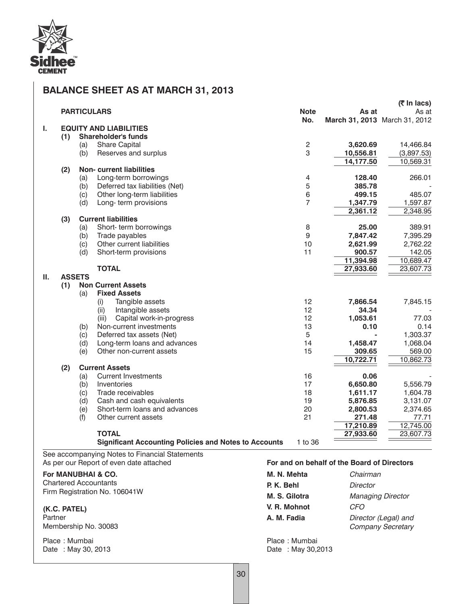

# **BALANCE SHEET AS AT MARCH 31, 2013**

|    |               |               |                                                              |                   |                                             | (₹ In lacs)              |
|----|---------------|---------------|--------------------------------------------------------------|-------------------|---------------------------------------------|--------------------------|
|    |               |               | <b>PARTICULARS</b>                                           | <b>Note</b>       | As at                                       | As at                    |
|    |               |               |                                                              | No.               | March 31, 2013 March 31, 2012               |                          |
| ı. |               |               | <b>EQUITY AND LIABILITIES</b>                                |                   |                                             |                          |
|    | (1)           | (a)           | <b>Shareholder's funds</b><br><b>Share Capital</b>           | $\sqrt{2}$        | 3,620.69                                    | 14,466.84                |
|    |               | (b)           | Reserves and surplus                                         | 3                 | 10,556.81                                   | (3,897.53)               |
|    |               |               |                                                              |                   | 14,177.50                                   | 10,569.31                |
|    | (2)           |               | <b>Non- current liabilities</b>                              |                   |                                             |                          |
|    |               | (a)           | Long-term borrowings                                         | $\overline{4}$    | 128.40                                      | 266.01                   |
|    |               | (b)           | Deferred tax liabilities (Net)                               | $\mathbf 5$       | 385.78                                      |                          |
|    |               | (c)           | Other long-term liabilities                                  | 6                 | 499.15                                      | 485.07                   |
|    |               | (d)           | Long- term provisions                                        | $\overline{7}$    | 1,347.79                                    | 1,597.87                 |
|    |               |               |                                                              |                   | 2,361.12                                    | 2,348.95                 |
|    | (3)           |               | <b>Current liabilities</b>                                   |                   | 25.00                                       | 389.91                   |
|    |               | (a)<br>(b)    | Short-term borrowings<br>Trade payables                      | 8<br>9            | 7,847.42                                    | 7,395.29                 |
|    |               | (c)           | Other current liabilities                                    | 10                | 2,621.99                                    | 2,762.22                 |
|    |               | (d)           | Short-term provisions                                        | 11                | 900.57                                      | 142.05                   |
|    |               |               |                                                              |                   | 11,394.98                                   | 10,689.47                |
|    |               |               | <b>TOTAL</b>                                                 |                   | 27,933.60                                   | 23,607.73                |
| Ш. |               | <b>ASSETS</b> |                                                              |                   |                                             |                          |
|    | (1)           |               | <b>Non Current Assets</b>                                    |                   |                                             |                          |
|    |               | (a)           | <b>Fixed Assets</b>                                          |                   |                                             |                          |
|    |               |               | Tangible assets<br>(i)                                       | 12                | 7,866.54                                    | 7,845.15                 |
|    |               |               | Intangible assets<br>(ii)                                    | 12                | 34.34                                       |                          |
|    |               |               | Capital work-in-progress<br>(iii)<br>Non-current investments | 12<br>13          | 1,053.61<br>0.10                            | 77.03<br>0.14            |
|    |               | (b)<br>(c)    | Deferred tax assets (Net)                                    | 5                 |                                             | 1,303.37                 |
|    |               | (d)           | Long-term loans and advances                                 | 14                | 1,458.47                                    | 1,068.04                 |
|    |               | (e)           | Other non-current assets                                     | 15                | 309.65                                      | 569.00                   |
|    |               |               |                                                              |                   | 10,722.71                                   | 10,862.73                |
|    | (2)           |               | <b>Current Assets</b>                                        |                   |                                             |                          |
|    |               | (a)           | <b>Current Investments</b>                                   | 16                | 0.06                                        |                          |
|    |               | (b)           | Inventories                                                  | 17                | 6,650.80                                    | 5,556.79                 |
|    |               | (c)           | Trade receivables                                            | 18                | 1,611.17                                    | 1,604.78                 |
|    |               | (d)           | Cash and cash equivalents                                    | 19                | 5,876.85                                    | 3,131.07                 |
|    |               | (e)           | Short-term loans and advances                                | 20                | 2,800.53                                    | 2,374.65                 |
|    |               | (f)           | Other current assets                                         | 21                | 271.48<br>17,210.89                         | 77.71<br>12,745.00       |
|    |               |               | <b>TOTAL</b>                                                 |                   | 27,933.60                                   | 23,607.73                |
|    |               |               | <b>Significant Accounting Policies and Notes to Accounts</b> | 1 to 36           |                                             |                          |
|    |               |               | See accompanying Notes to Financial Statements               |                   |                                             |                          |
|    |               |               | As per our Report of even date attached                      |                   | For and on behalf of the Board of Directors |                          |
|    |               |               | For MANUBHAI & CO.                                           | M. N. Mehta       | Chairman                                    |                          |
|    |               |               | <b>Chartered Accountants</b>                                 | P. K. Behl        | Director                                    |                          |
|    |               |               | Firm Registration No. 106041W                                | M. S. Gilotra     |                                             | <b>Managing Director</b> |
|    |               |               |                                                              | V. R. Mohnot      | <b>CFO</b>                                  |                          |
|    | (K.C. PATEL)  |               |                                                              |                   |                                             |                          |
|    | Partner       |               |                                                              | A. M. Fadia       |                                             | Director (Legal) and     |
|    |               |               | Membership No. 30083                                         |                   |                                             | <b>Company Secretary</b> |
|    | Place: Mumbai |               |                                                              | Place: Mumbai     |                                             |                          |
|    |               |               | Date: May 30, 2013                                           | Date: May 30,2013 |                                             |                          |

# 30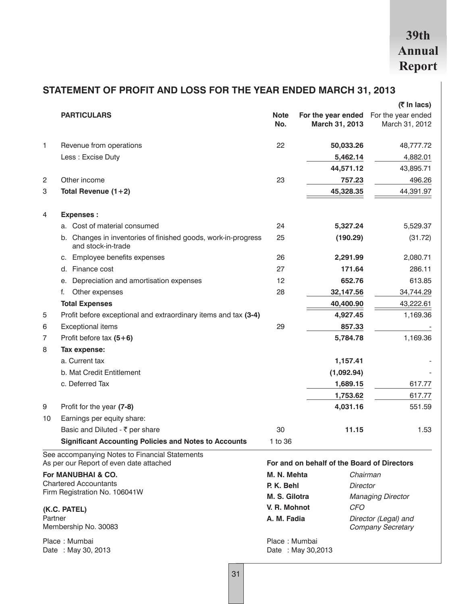# **39th Annual Report**

# **STATEMENT OF PROFIT AND LOSS FOR THE YEAR ENDED MARCH 31, 2013**

|                |                                                                                           |                    |                                                         | (₹ In lacs)                                      |
|----------------|-------------------------------------------------------------------------------------------|--------------------|---------------------------------------------------------|--------------------------------------------------|
|                | <b>PARTICULARS</b>                                                                        | <b>Note</b><br>No. | For the year ended For the year ended<br>March 31, 2013 | March 31, 2012                                   |
| 1              | Revenue from operations                                                                   | 22                 | 50,033.26                                               | 48,777.72                                        |
|                | Less: Excise Duty                                                                         |                    | 5,462.14                                                | 4,882.01                                         |
|                |                                                                                           |                    | 44,571.12                                               | 43,895.71                                        |
| $\overline{c}$ | Other income                                                                              | 23                 | 757.23                                                  | 496.26                                           |
| 3              | Total Revenue $(1+2)$                                                                     |                    | 45,328.35                                               | 44,391.97                                        |
| 4              | <b>Expenses:</b>                                                                          |                    |                                                         |                                                  |
|                | a. Cost of material consumed                                                              | 24                 | 5,327.24                                                | 5,529.37                                         |
|                | b. Changes in inventories of finished goods, work-in-progress<br>and stock-in-trade       | 25                 | (190.29)                                                | (31.72)                                          |
|                | Employee benefits expenses<br>C.                                                          | 26                 | 2,291.99                                                | 2,080.71                                         |
|                | d. Finance cost                                                                           | 27                 | 171.64                                                  | 286.11                                           |
|                | Depreciation and amortisation expenses<br>е.                                              | 12                 | 652.76                                                  | 613.85                                           |
|                | f.<br>Other expenses                                                                      | 28                 | 32,147.56                                               | 34,744.29                                        |
|                | <b>Total Expenses</b>                                                                     |                    | 40,400.90                                               | 43,222.61                                        |
| 5              | Profit before exceptional and extraordinary items and tax (3-4)                           |                    | 4,927.45                                                | 1,169.36                                         |
| 6              | <b>Exceptional items</b>                                                                  | 29                 | 857.33                                                  |                                                  |
| 7              | Profit before tax $(5+6)$                                                                 |                    | 5,784.78                                                | 1,169.36                                         |
| 8              | Tax expense:                                                                              |                    |                                                         |                                                  |
|                | a. Current tax                                                                            |                    | 1,157.41                                                |                                                  |
|                | b. Mat Credit Entitlement                                                                 |                    | (1,092.94)                                              |                                                  |
|                | c. Deferred Tax                                                                           |                    | 1,689.15                                                | 617.77                                           |
|                |                                                                                           |                    | 1,753.62                                                | 617.77                                           |
| 9              | Profit for the year (7-8)                                                                 |                    | 4,031.16                                                | 551.59                                           |
| 10             | Earnings per equity share:                                                                |                    |                                                         |                                                  |
|                | Basic and Diluted - ₹ per share                                                           | 30                 | 11.15                                                   | 1.53                                             |
|                | <b>Significant Accounting Policies and Notes to Accounts</b>                              | 1 to 36            |                                                         |                                                  |
|                | See accompanying Notes to Financial Statements<br>As per our Report of even date attached |                    | For and on behalf of the Board of Directors             |                                                  |
|                | For MANUBHAI & CO.                                                                        | M. N. Mehta        | Chairman                                                |                                                  |
|                | <b>Chartered Accountants</b>                                                              | P. K. Behl         | Director                                                |                                                  |
|                | Firm Registration No. 106041W                                                             | M. S. Gilotra      |                                                         | <b>Managing Director</b>                         |
|                | (K.C. PATEL)                                                                              | V. R. Mohnot       | <b>CFO</b>                                              |                                                  |
| Partner        | Membership No. 30083                                                                      | A. M. Fadia        |                                                         | Director (Legal) and<br><b>Company Secretary</b> |
|                | Place: Mumbai<br>Date: May 30, 2013                                                       | Place: Mumbai      | Date: May 30,2013                                       |                                                  |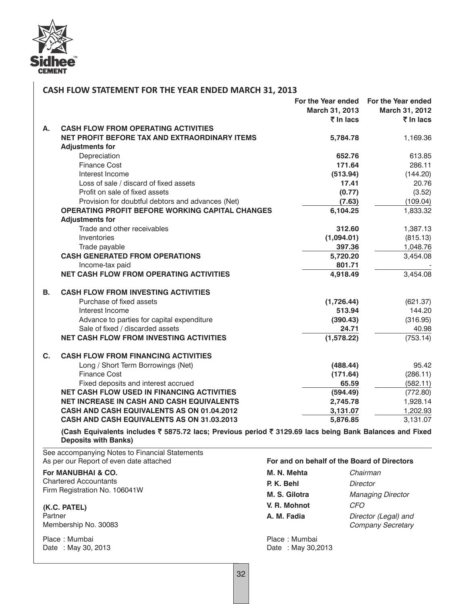

## **CASH FLOW STATEMENT FOR THE YEAR ENDED MARCH 31, 2013**

|    |                                                                                                                                        | For the Year ended<br>March 31, 2013<br>$\bar{z}$ in lacs | For the Year ended<br>March 31, 2012<br>$\bar{z}$ in lacs |
|----|----------------------------------------------------------------------------------------------------------------------------------------|-----------------------------------------------------------|-----------------------------------------------------------|
| А. | <b>CASH FLOW FROM OPERATING ACTIVITIES</b>                                                                                             |                                                           |                                                           |
|    | NET PROFIT BEFORE TAX AND EXTRAORDINARY ITEMS                                                                                          | 5,784.78                                                  | 1,169.36                                                  |
|    | <b>Adjustments for</b>                                                                                                                 |                                                           |                                                           |
|    | Depreciation                                                                                                                           | 652.76                                                    | 613.85                                                    |
|    | <b>Finance Cost</b>                                                                                                                    | 171.64                                                    | 286.11                                                    |
|    | Interest Income                                                                                                                        | (513.94)                                                  | (144.20)                                                  |
|    | Loss of sale / discard of fixed assets                                                                                                 | 17.41                                                     | 20.76                                                     |
|    | Profit on sale of fixed assets                                                                                                         | (0.77)                                                    | (3.52)                                                    |
|    | Provision for doubtful debtors and advances (Net)                                                                                      | (7.63)                                                    | (109.04)                                                  |
|    | <b>OPERATING PROFIT BEFORE WORKING CAPITAL CHANGES</b>                                                                                 | 6,104.25                                                  | 1,833.32                                                  |
|    | <b>Adjustments for</b>                                                                                                                 |                                                           |                                                           |
|    | Trade and other receivables                                                                                                            | 312.60                                                    | 1,387.13                                                  |
|    | Inventories                                                                                                                            | (1,094.01)                                                | (815.13)                                                  |
|    | Trade payable                                                                                                                          | 397.36                                                    | 1,048.76                                                  |
|    | <b>CASH GENERATED FROM OPERATIONS</b>                                                                                                  | 5,720.20                                                  | 3,454.08                                                  |
|    | Income-tax paid                                                                                                                        | 801.71                                                    |                                                           |
|    | <b>NET CASH FLOW FROM OPERATING ACTIVITIES</b>                                                                                         | 4,918.49                                                  | 3,454.08                                                  |
| В. | <b>CASH FLOW FROM INVESTING ACTIVITIES</b>                                                                                             |                                                           |                                                           |
|    | Purchase of fixed assets                                                                                                               | (1,726.44)                                                | (621.37)                                                  |
|    | Interest Income                                                                                                                        | 513.94                                                    | 144.20                                                    |
|    | Advance to parties for capital expenditure                                                                                             | (390.43)                                                  | (316.95)                                                  |
|    | Sale of fixed / discarded assets                                                                                                       | 24.71                                                     | 40.98                                                     |
|    | <b>NET CASH FLOW FROM INVESTING ACTIVITIES</b>                                                                                         | (1,578.22)                                                | (753.14)                                                  |
| C. | <b>CASH FLOW FROM FINANCING ACTIVITIES</b>                                                                                             |                                                           |                                                           |
|    | Long / Short Term Borrowings (Net)                                                                                                     | (488.44)                                                  | 95.42                                                     |
|    | <b>Finance Cost</b>                                                                                                                    | (171.64)                                                  | (286.11)                                                  |
|    | Fixed deposits and interest accrued                                                                                                    | 65.59                                                     | (582.11)                                                  |
|    | <b>NET CASH FLOW USED IN FINANCING ACTIVITIES</b>                                                                                      | (594.49)                                                  | (772.80)                                                  |
|    | <b>NET INCREASE IN CASH AND CASH EQUIVALENTS</b>                                                                                       | 2,745.78                                                  | 1,928.14                                                  |
|    | <b>CASH AND CASH EQUIVALENTS AS ON 01.04.2012</b>                                                                                      | 3,131.07                                                  | 1,202.93                                                  |
|    | CASH AND CASH EQUIVALENTS AS ON 31.03.2013                                                                                             | 5,876.85                                                  | 3,131.07                                                  |
|    | (Cash Equivalents includes ₹ 5875.72 lacs; Previous period ₹ 3129.69 lacs being Bank Balances and Fixed<br><b>Deposits with Banks)</b> |                                                           |                                                           |
|    | See accompanying Notes to Financial Statements                                                                                         |                                                           |                                                           |

As per our Report of even date attached **For and on behalf of the Board of Directors** 

#### **For MANUBHAI & CO.** Chartered Accountants Firm Registration No. 106041W

**(K.C. PATEL) Partner** Membership No. 30083

Place : Mumbai **Place** : Mumbai

| M. N. Mehta   | Chairman                                         |
|---------------|--------------------------------------------------|
| P. K. Behl    | Director                                         |
| M. S. Gilotra | Managing Director                                |
| V. R. Mohnot  | CFO                                              |
| A. M. Fadia   | Director (Legal) and<br><b>Company Secretary</b> |

Date : May 30, 2013 **Date : May 30, 2013**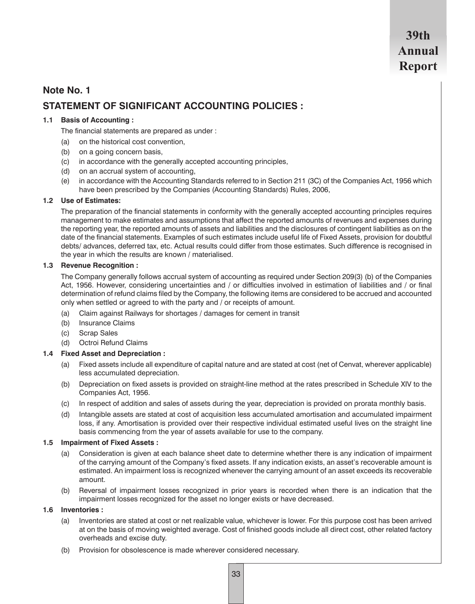# **Note No. 1 STATEMENT OF SIGNIFICANT ACCOUNTING POLICIES :**

#### **1.1 Basis of Accounting :**

The financial statements are prepared as under :

- (a) on the historical cost convention,
- (b) on a going concern basis,
- (c) in accordance with the generally accepted accounting principles,
- (d) on an accrual system of accounting,
- (e) in accordance with the Accounting Standards referred to in Section 211 (3C) of the Companies Act, 1956 which have been prescribed by the Companies (Accounting Standards) Rules, 2006,

#### **1.2 Use of Estimates:**

The preparation of the financial statements in conformity with the generally accepted accounting principles requires management to make estimates and assumptions that affect the reported amounts of revenues and expenses during the reporting year, the reported amounts of assets and liabilities and the disclosures of contingent liabilities as on the date of the financial statements. Examples of such estimates include useful life of Fixed Assets, provision for doubtful debts/ advances, deferred tax, etc. Actual results could differ from those estimates. Such difference is recognised in the year in which the results are known / materialised.

#### **1.3 Revenue Recognition :**

The Company generally follows accrual system of accounting as required under Section 209(3) (b) of the Companies Act, 1956. However, considering uncertainties and / or difficulties involved in estimation of liabilities and / or final determination of refund claims filed by the Company, the following items are considered to be accrued and accounted only when settled or agreed to with the party and / or receipts of amount.

- (a) Claim against Railways for shortages / damages for cement in transit
- (b) Insurance Claims
- (c) Scrap Sales
- (d) Octroi Refund Claims

#### **1.4 Fixed Asset and Depreciation :**

- (a) Fixed assets include all expenditure of capital nature and are stated at cost (net of Cenvat, wherever applicable) less accumulated depreciation.
- (b) Depreciation on fixed assets is provided on straight-line method at the rates prescribed in Schedule XIV to the Companies Act, 1956.
- (c) In respect of addition and sales of assets during the year, depreciation is provided on prorata monthly basis.
- (d) Intangible assets are stated at cost of acquisition less accumulated amortisation and accumulated impairment loss, if any. Amortisation is provided over their respective individual estimated useful lives on the straight line basis commencing from the year of assets available for use to the company.

#### **1.5 Impairment of Fixed Assets :**

- (a) Consideration is given at each balance sheet date to determine whether there is any indication of impairment of the carrying amount of the Company's fixed assets. If any indication exists, an asset's recoverable amount is estimated. An impairment loss is recognized whenever the carrying amount of an asset exceeds its recoverable amount.
- (b) Reversal of impairment losses recognized in prior years is recorded when there is an indication that the impairment losses recognized for the asset no longer exists or have decreased.

#### **1.6 Inventories :**

- (a) Inventories are stated at cost or net realizable value, whichever is lower. For this purpose cost has been arrived at on the basis of moving weighted average. Cost of finished goods include all direct cost, other related factory overheads and excise duty.
- (b) Provision for obsolescence is made wherever considered necessary.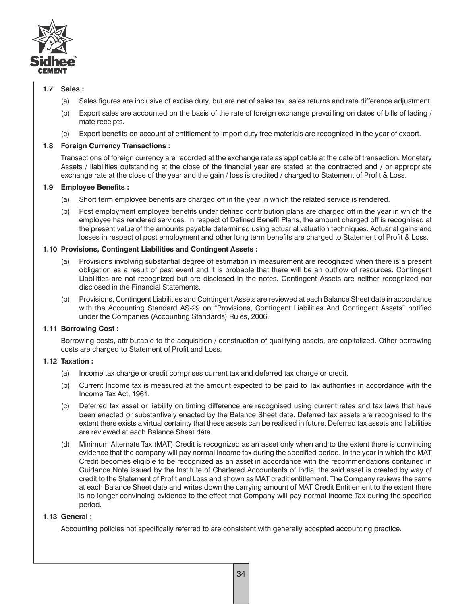

#### **1.7 Sales :**

- (a) Sales figures are inclusive of excise duty, but are net of sales tax, sales returns and rate difference adjustment.
- (b) Export sales are accounted on the basis of the rate of foreign exchange prevailling on dates of bills of lading / mate receipts.
- (c) Export benefits on account of entitlement to import duty free materials are recognized in the year of export.

#### **1.8 Foreign Currency Transactions :**

Transactions of foreign currency are recorded at the exchange rate as applicable at the date of transaction. Monetary Assets / liabilities outstanding at the close of the financial year are stated at the contracted and / or appropriate exchange rate at the close of the year and the gain / loss is credited / charged to Statement of Profit & Loss.

#### **1.9 Employee Benefits :**

- (a) Short term employee benefits are charged off in the year in which the related service is rendered.
- (b) Post employment employee benefits under defined contribution plans are charged off in the year in which the employee has rendered services. In respect of Defined Benefit Plans, the amount charged off is recognised at the present value of the amounts payable determined using actuarial valuation techniques. Actuarial gains and losses in respect of post employment and other long term benefits are charged to Statement of Profit & Loss.

#### **1.10 Provisions, Contingent Liabilities and Contingent Assets :**

- (a) Provisions involving substantial degree of estimation in measurement are recognized when there is a present obligation as a result of past event and it is probable that there will be an outflow of resources. Contingent Liabilities are not recognized but are disclosed in the notes. Contingent Assets are neither recognized nor disclosed in the Financial Statements.
- (b) Provisions, Contingent Liabilities and Contingent Assets are reviewed at each Balance Sheet date in accordance with the Accounting Standard AS-29 on "Provisions, Contingent Liabilities And Contingent Assets" notified under the Companies (Accounting Standards) Rules, 2006.

#### **1.11 Borrowing Cost :**

Borrowing costs, attributable to the acquisition / construction of qualifying assets, are capitalized. Other borrowing costs are charged to Statement of Profit and Loss.

#### **1.12 Taxation :**

- (a) Income tax charge or credit comprises current tax and deferred tax charge or credit.
- (b) Current Income tax is measured at the amount expected to be paid to Tax authorities in accordance with the Income Tax Act, 1961.
- (c) Deferred tax asset or liability on timing difference are recognised using current rates and tax laws that have been enacted or substantively enacted by the Balance Sheet date. Deferred tax assets are recognised to the extent there exists a virtual certainty that these assets can be realised in future. Deferred tax assets and liabilities are reviewed at each Balance Sheet date.
- (d) Minimum Alternate Tax (MAT) Credit is recognized as an asset only when and to the extent there is convincing evidence that the company will pay normal income tax during the specified period. In the year in which the MAT Credit becomes eligible to be recognized as an asset in accordance with the recommendations contained in Guidance Note issued by the Institute of Chartered Accountants of India, the said asset is created by way of credit to the Statement of Profit and Loss and shown as MAT credit entitlement. The Company reviews the same at each Balance Sheet date and writes down the carrying amount of MAT Credit Entitlement to the extent there is no longer convincing evidence to the effect that Company will pay normal Income Tax during the specified period.

#### **1.13 General :**

Accounting policies not specifically referred to are consistent with generally accepted accounting practice.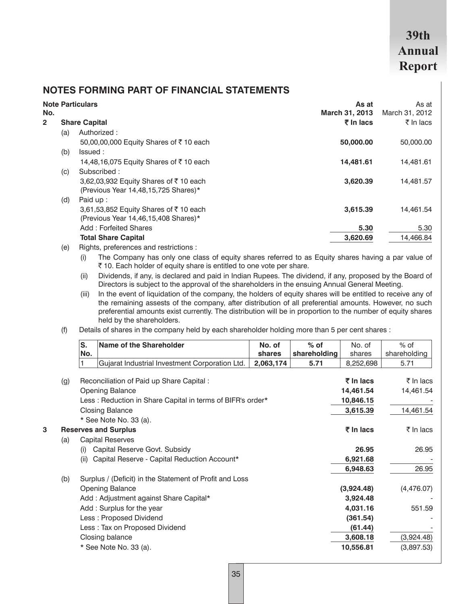## **NOTES FORMING PART OF FINANCIAL STATEMENTS**

|                |     | <b>Note Particulars</b>                | As at                | As at                |
|----------------|-----|----------------------------------------|----------------------|----------------------|
| No.            |     |                                        | March 31, 2013       | March 31, 2012       |
| $\overline{2}$ |     | <b>Share Capital</b>                   | $\bar{\tau}$ In lacs | $\bar{\tau}$ In lacs |
|                | (a) | Authorized:                            |                      |                      |
|                |     | 50,00,00,000 Equity Shares of ₹10 each | 50,000.00            | 50,000.00            |
|                | (b) | lssued :                               |                      |                      |
|                |     | 14,48,16,075 Equity Shares of ₹10 each | 14.481.61            | 14,481.61            |
|                | (c) | Subscribed:                            |                      |                      |
|                |     | 3,62,03,932 Equity Shares of ₹10 each  | 3,620.39             | 14,481.57            |
|                |     | (Previous Year 14,48,15,725 Shares)*   |                      |                      |
|                | (d) | Paid up:                               |                      |                      |
|                |     | 3,61,53,852 Equity Shares of ₹10 each  | 3,615.39             | 14.461.54            |
|                |     | (Previous Year 14,46,15,408 Shares)*   |                      |                      |
|                |     | Add: Forfeited Shares                  | 5.30                 | 5.30                 |
|                |     | <b>Total Share Capital</b>             | 3,620.69             | 14.466.84            |
|                |     |                                        |                      |                      |

(e) Rights, preferences and restrictions :

(i) The Company has only one class of equity shares referred to as Equity shares having a par value of ₹ 10. Each holder of equity share is entitled to one vote per share.

(ii) Dividends, if any, is declared and paid in Indian Rupees. The dividend, if any, proposed by the Board of Directors is subject to the approval of the shareholders in the ensuing Annual General Meeting.

- (iii) In the event of liquidation of the company, the holders of equity shares will be entitled to receive any of the remaining assests of the company, after distribution of all preferential amounts. However, no such preferential amounts exist currently. The distribution will be in proportion to the number of equity shares held by the shareholders.
- (f) Details of shares in the company held by each shareholder holding more than 5 per cent shares :

|   |     | lS.  | <b>Name of the Shareholder</b>                             | No. of    | $%$ of       | No. of            | $%$ of               |
|---|-----|------|------------------------------------------------------------|-----------|--------------|-------------------|----------------------|
|   |     | No.  |                                                            | shares    | shareholding | shares            | shareholding         |
|   |     |      | Gujarat Industrial Investment Corporation Ltd.             | 2,063,174 | 5.71         | 8,252,698         | 5.71                 |
|   |     |      |                                                            |           |              |                   |                      |
|   | (g) |      | Reconciliation of Paid up Share Capital :                  |           |              | $\bar{z}$ in lacs | ₹ In lacs            |
|   |     |      | <b>Opening Balance</b>                                     |           |              | 14,461.54         | 14,461.54            |
|   |     |      | Less: Reduction in Share Capital in terms of BIFR's order* |           |              | 10,846.15         |                      |
|   |     |      | <b>Closing Balance</b>                                     |           |              | 3,615.39          | 14,461.54            |
|   |     |      | * See Note No. 33 (a).                                     |           |              |                   |                      |
| 3 |     |      | <b>Reserves and Surplus</b>                                |           |              | ₹ In lacs         | $\bar{\tau}$ In lacs |
|   | (a) |      | <b>Capital Reserves</b>                                    |           |              |                   |                      |
|   |     | (i)  | Capital Reserve Govt. Subsidy                              |           |              | 26.95             | 26.95                |
|   |     | (ii) | Capital Reserve - Capital Reduction Account*               |           |              | 6,921.68          |                      |
|   |     |      |                                                            |           |              | 6,948.63          | 26.95                |
|   | (b) |      | Surplus / (Deficit) in the Statement of Profit and Loss    |           |              |                   |                      |
|   |     |      | <b>Opening Balance</b>                                     |           |              | (3,924.48)        | (4, 476.07)          |
|   |     |      | Add: Adjustment against Share Capital*                     |           |              | 3,924.48          |                      |
|   |     |      | Add: Surplus for the year                                  |           |              | 4,031.16          | 551.59               |
|   |     |      | Less: Proposed Dividend                                    |           |              | (361.54)          |                      |
|   |     |      | Less: Tax on Proposed Dividend                             |           |              | (61.44)           |                      |
|   |     |      | Closing balance                                            |           |              | 3,608.18          | (3,924.48)           |
|   |     |      | * See Note No. 33 (a).                                     |           |              | 10,556.81         | (3,897.53)           |
|   |     |      |                                                            |           |              |                   |                      |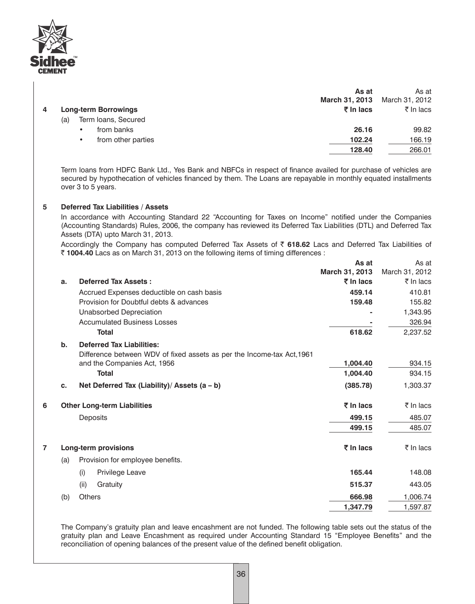

|   |                                 | As at                | As at          |
|---|---------------------------------|----------------------|----------------|
|   |                                 | March 31, 2013       | March 31, 2012 |
| 4 | <b>Long-term Borrowings</b>     | $\bar{\tau}$ in lacs | ₹ In lacs      |
|   | Term Ioans, Secured<br>(a)      |                      |                |
|   | from banks<br>$\bullet$         | 26.16                | 99.82          |
|   | from other parties<br>$\bullet$ | 102.24               | 166.19         |
|   |                                 | 128.40               | 266.01         |
|   |                                 |                      |                |

Term loans from HDFC Bank Ltd., Yes Bank and NBFCs in respect of finance availed for purchase of vehicles are secured by hypothecation of vehicles financed by them. The Loans are repayable in monthly equated installments over 3 to 5 years.

#### **5 Deferred Tax Liabilities / Assets**

In accordance with Accounting Standard 22 "Accounting for Taxes on Income" notified under the Companies (Accounting Standards) Rules, 2006, the company has reviewed its Deferred Tax Liabilities (DTL) and Deferred Tax Assets (DTA) upto March 31, 2013.

Accordingly the Company has computed Deferred Tax Assets of ₹ 618.62 Lacs and Deferred Tax Liabilities of ` **1004.40** Lacs as on March 31, 2013 on the following items of timing differences :

|   |     |                                                                        | As at             | As at             |
|---|-----|------------------------------------------------------------------------|-------------------|-------------------|
|   |     |                                                                        | March 31, 2013    | March 31, 2012    |
|   | a.  | <b>Deferred Tax Assets:</b>                                            | ₹ In lacs         | $\bar{z}$ In lacs |
|   |     | Accrued Expenses deductible on cash basis                              | 459.14            | 410.81            |
|   |     | Provision for Doubtful debts & advances                                | 159.48            | 155.82            |
|   |     | Unabsorbed Depreciation                                                |                   | 1,343.95          |
|   |     | <b>Accumulated Business Losses</b>                                     |                   | 326.94            |
|   |     | <b>Total</b>                                                           | 618.62            | 2,237.52          |
|   | b.  | <b>Deferred Tax Liabilities:</b>                                       |                   |                   |
|   |     | Difference between WDV of fixed assets as per the Income-tax Act, 1961 |                   |                   |
|   |     | and the Companies Act, 1956                                            | 1,004.40          | 934.15            |
|   |     | <b>Total</b>                                                           | 1,004.40          | 934.15            |
|   | c.  | Net Deferred Tax (Liability)/ Assets $(a - b)$                         | (385.78)          | 1,303.37          |
| 6 |     | <b>Other Long-term Liabilities</b>                                     | $\bar{z}$ in lacs | $\bar{z}$ In lacs |
|   |     | <b>Deposits</b>                                                        | 499.15            | 485.07            |
|   |     |                                                                        | 499.15            | 485.07            |
| 7 |     | <b>Long-term provisions</b>                                            | ₹ In lacs         | ₹ In lacs         |
|   | (a) | Provision for employee benefits.                                       |                   |                   |
|   |     | (i)<br>Privilege Leave                                                 | 165.44            | 148.08            |
|   |     | (ii)<br>Gratuity                                                       | 515.37            | 443.05            |
|   | (b) | <b>Others</b>                                                          | 666.98            | 1,006.74          |
|   |     |                                                                        | 1,347.79          | 1,597.87          |
|   |     |                                                                        |                   |                   |

The Company's gratuity plan and leave encashment are not funded. The following table sets out the status of the gratuity plan and Leave Encashment as required under Accounting Standard 15 "Employee Benefits" and the reconciliation of opening balances of the present value of the defined benefit obligation.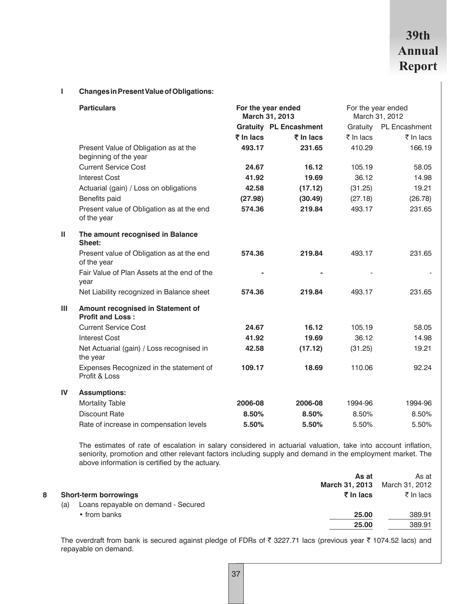# **39th Annual Report**

#### **I Changes in Present Value of Obligations:**

| <b>Particulars</b>                                                |                   | For the year ended<br>March 31, 2013 |                   | For the year ended<br>March 31, 2012 |
|-------------------------------------------------------------------|-------------------|--------------------------------------|-------------------|--------------------------------------|
|                                                                   |                   | <b>Gratuity PL Encashment</b>        |                   | Gratuity PL Encashment               |
|                                                                   | $\bar{z}$ in lacs | $\bar{z}$ in lacs                    | $\bar{z}$ In lacs | $\bar{z}$ In lacs                    |
| Present Value of Obligation as at the<br>beginning of the year    | 493.17            | 231.65                               | 410.29            | 166.19                               |
| <b>Current Service Cost</b>                                       | 24.67             | 16.12                                | 105.19            | 58.05                                |
| <b>Interest Cost</b>                                              | 41.92             | 19.69                                | 36.12             | 14.98                                |
| Actuarial (gain) / Loss on obligations                            | 42.58             | (17.12)                              | (31.25)           | 19.21                                |
| Benefits paid                                                     | (27.98)           | (30.49)                              | (27.18)           | (26.78)                              |
| Present value of Obligation as at the end<br>of the year          | 574.36            | 219.84                               | 493.17            | 231.65                               |
| II.<br>The amount recognised in Balance<br>Sheet:                 |                   |                                      |                   |                                      |
| Present value of Obligation as at the end<br>of the year          | 574.36            | 219.84                               | 493.17            | 231.65                               |
| Fair Value of Plan Assets at the end of the<br>year               |                   |                                      |                   |                                      |
| Net Liability recognized in Balance sheet                         | 574.36            | 219.84                               | 493.17            | 231.65                               |
| Ш<br>Amount recognised in Statement of<br><b>Profit and Loss:</b> |                   |                                      |                   |                                      |
| <b>Current Service Cost</b>                                       | 24.67             | 16.12                                | 105.19            | 58.05                                |
| <b>Interest Cost</b>                                              | 41.92             | 19.69                                | 36.12             | 14.98                                |
| Net Actuarial (gain) / Loss recognised in<br>the year             | 42.58             | (17.12)                              | (31.25)           | 19.21                                |
| Expenses Recognized in the statement of<br>Profit & Loss          | 109.17            | 18.69                                | 110.06            | 92.24                                |
| IV<br><b>Assumptions:</b>                                         |                   |                                      |                   |                                      |
| <b>Mortality Table</b>                                            | 2006-08           | 2006-08                              | 1994-96           | 1994-96                              |
| <b>Discount Rate</b>                                              | 8.50%             | 8.50%                                | 8.50%             | 8.50%                                |
| Rate of increase in compensation levels                           | 5.50%             | 5.50%                                | 5.50%             | 5.50%                                |

The estimates of rate of escalation in salary considered in actuarial valuation, take into account inflation, seniority, promotion and other relevant factors including supply and demand in the employment market. The above information is certified by the actuary.

|   |     |                                     | As at             | As at          |
|---|-----|-------------------------------------|-------------------|----------------|
|   |     |                                     | March 31, 2013    | March 31, 2012 |
| 8 |     | <b>Short-term borrowings</b>        | $\bar{z}$ in lacs | ₹ In lacs      |
|   | (a) | Loans repayable on demand - Secured |                   |                |
|   |     | • from banks                        | 25.00             | 389.91         |
|   |     |                                     | 25.00             | 389.91         |

The overdraft from bank is secured against pledge of FDRs of  $\bar{z}$  3227.71 lacs (previous year  $\bar{z}$  1074.52 lacs) and repayable on demand.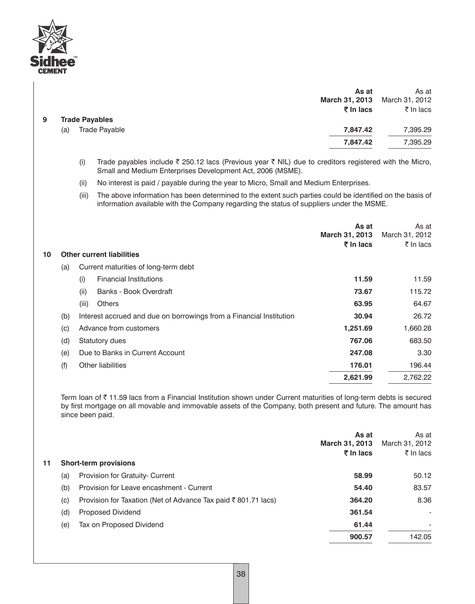

|   |                       | As at                         | As at     |
|---|-----------------------|-------------------------------|-----------|
|   |                       | March 31, 2013 March 31, 2012 |           |
|   |                       | $\bar{\tau}$ in lacs          | ₹ In lacs |
| 9 | <b>Trade Payables</b> |                               |           |
|   | Trade Payable<br>(a)  | 7,847.42                      | 7,395.29  |
|   |                       | 7,847.42                      | 7,395.29  |
|   |                       |                               |           |

(i) Trade payables include  $\bar{\tau}$  250.12 lacs (Previous year  $\bar{\tau}$  NIL) due to creditors registered with the Micro, Small and Medium Enterprises Development Act, 2006 (MSME).

(ii) No interest is paid / payable during the year to Micro, Small and Medium Enterprises.

(iii) The above information has been determined to the extent such parties could be identified on the basis of information available with the Company regarding the status of suppliers under the MSME.

| 10 |     |       | <b>Other current liabilities</b>                                    | As at<br>March 31, 2013<br>₹ In lacs | As at<br>March 31, 2012<br>₹ In lacs |
|----|-----|-------|---------------------------------------------------------------------|--------------------------------------|--------------------------------------|
|    | (a) |       | Current maturities of long-term debt                                |                                      |                                      |
|    |     | (i)   | <b>Financial Institutions</b>                                       | 11.59                                | 11.59                                |
|    |     | (ii)  | Banks - Book Overdraft                                              | 73.67                                | 115.72                               |
|    |     | (iii) | <b>Others</b>                                                       | 63.95                                | 64.67                                |
|    | (b) |       | Interest accrued and due on borrowings from a Financial Institution | 30.94                                | 26.72                                |
|    | (c) |       | Advance from customers                                              | 1,251.69                             | 1,660.28                             |
|    | (d) |       | <b>Statutory dues</b>                                               | 767.06                               | 683.50                               |
|    | (e) |       | Due to Banks in Current Account                                     | 247.08                               | 3.30                                 |
|    | (f) |       | Other liabilities                                                   | 176.01                               | 196.44                               |
|    |     |       |                                                                     | 2,621.99                             | 2,762.22                             |

Term loan of ₹11.59 lacs from a Financial Institution shown under Current maturities of long-term debts is secured by first mortgage on all movable and immovable assets of the Company, both present and future. The amount has since been paid.

|    |     |                                                               | As at             | As at          |
|----|-----|---------------------------------------------------------------|-------------------|----------------|
|    |     |                                                               | March 31, 2013    | March 31, 2012 |
|    |     |                                                               | $\bar{z}$ in lacs | ₹ In lacs      |
| 11 |     | <b>Short-term provisions</b>                                  |                   |                |
|    | (a) | <b>Provision for Gratuity- Current</b>                        | 58.99             | 50.12          |
|    | (b) | Provision for Leave encashment - Current                      | 54.40             | 83.57          |
|    | (c) | Provision for Taxation (Net of Advance Tax paid ₹801.71 lacs) | 364.20            | 8.36           |
|    | (d) | <b>Proposed Dividend</b>                                      | 361.54            | ۰              |
|    | (e) | Tax on Proposed Dividend                                      | 61.44             |                |
|    |     |                                                               | 900.57            | 142.05         |
|    |     |                                                               |                   |                |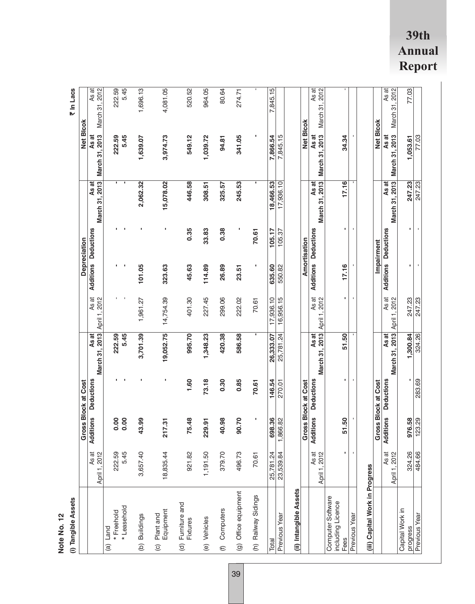# (i) Tangible Assets Note No. 12 **Note No. 12**

|                                |                |           | Gross Block at Cost |                              |                   |                      | <b>Depreciation</b> |                | Net Blcok      |                |
|--------------------------------|----------------|-----------|---------------------|------------------------------|-------------------|----------------------|---------------------|----------------|----------------|----------------|
|                                | As at          | Additions | <b>Deductions</b>   | As at                        | As at             | Additions Deductions |                     | As at          | As at          | ੋਂ<br>Äs       |
|                                | April 1, 2012  |           |                     | March 31, 2013               | ,2012<br>April 1. |                      |                     | March 31, 2013 | March 31, 2013 | March 31, 2012 |
| * Freehold<br>(a) Land         | 222.59         | 0.00      |                     | 222.59                       |                   |                      |                     |                | 222.59         | 222.59         |
| * Leasehold                    | 5.45           | 0.00      |                     | 5.45                         |                   | ٠                    |                     |                | 5.45           | 5.45           |
| (b) Buildings                  | 3,657.40       | 43.99     |                     | 3,701.39                     | 1,961.27          | 101.05               |                     | 2,062.32       | 1,639.07       | 1,696.13       |
| Plant and<br>$\odot$           |                |           |                     |                              |                   |                      |                     |                |                |                |
| Equipment                      | 18,835.44      | 217.31    |                     | 19,052.75                    | 14,754.39         | 323.63               |                     | 15,078.02      | 3,974.73       | 4,081.05       |
| (d) Furniture and<br>Fixtures  | 921.82         | 75.48     | 1.60                | 995.70                       | 401.30            | 45.63                | 0.35                | 446.58         | 549.12         | 520.52         |
| (e) Vehicles                   | 1,191.50       | 229.91    | 73.18               | 1,348.23                     | 227.45            | 114.89               | 33.83               | 308.51         | 1,039.72       | 964.05         |
| (f) Computers                  | 379.70         | 40.98     | 0.30                | 420.38                       | 299.06            | 26.89                | 0.38                | 325.57         | 94.81          | 80.64          |
| (g) Office equipment           | 496.73         | 90.70     | 0.85                | 586.58                       | 222.02            | 23.51                |                     | 245.53         | 341.05         | 274.71         |
| (h) Railway Sidings            | 70.61          | ı         | 70.61               | ٠                            | 70.61             | ı                    | 70.61               |                | ٠              |                |
| Total                          | 25,781.24      | 698.36    | 146.54              | 26,333.07                    | 17,936.10         | 635.60               | 105.17              | 18,466.53      | 7,866.54       | 7,845.15       |
| Previous Year                  | 23,539.84      | 1,866.82  | 270.01              | 25,781.24                    | 16,956.15         | 550.82               | 105.37              | 17,936.10      | 7,845.15       |                |
| (ii) Intangible Assets         |                |           |                     |                              |                   |                      |                     |                |                |                |
|                                |                |           | Gross Block at Cost |                              |                   |                      | Amortisation        |                | Net Blcok      |                |
|                                | As at          | Additions | <b>Deductions</b>   | As at                        | As at             | Additions Deductions |                     | As at          | As at          | As at          |
|                                | April 1, 2012  |           |                     | March 31, 2013               | April 1, 2012     |                      |                     | March 31, 2013 | March 31, 2013 | March 31, 2012 |
| Computer Software              |                |           |                     |                              |                   |                      |                     |                |                |                |
| including Licence<br>Fees      | ı              | 51.50     | ٠                   | 51.50                        | ٠                 | 17.16                | ٠                   | 17.16          | 34.34          |                |
| Previous Year                  | $\blacksquare$ |           | ٠                   |                              |                   |                      | $\blacksquare$      |                |                |                |
| (iii) Capital Work in Progress |                |           |                     |                              |                   |                      |                     |                |                |                |
|                                |                |           | Gross Block at Cost |                              |                   |                      | Impairment          |                | Net Blcok      |                |
|                                | As at          | Additions | <b>Deductions</b>   | As at                        | As at             | Additions Deductions |                     | As at          | As at          | As at          |
|                                | April 1, 2012  |           |                     | March 31, 2013 April 1, 2012 |                   |                      |                     | March 31, 2013 | March 31, 2013 | March 31, 2012 |

₹ In Lacs **(i) Tangible Assets** ` **In Lacs**

**39th Annual Report**

77.03

 $\frac{1,053.61}{77.03}$ 

247.23

 $\blacksquare$ 

 $\mathbf{r}$ 

Capital Work in

Capital Work in<br>progress<br>Previous Year

progress 324.26 **976.58 - 1,300.84** 247.23 **- - 247.23 1,053.61** 77.03

247.23

Previous Year 484.66 123.29 283.69 324.26 247.23 - - 247.23 77.03

283.69  $\bar{ }$ 

976.58<br>123.29

324.26<br>484.66

 $\frac{1,300.84}{324.26}$ 

39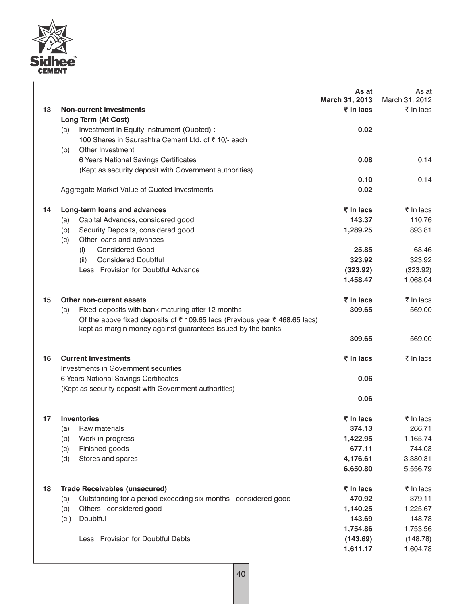

|    |                                                                          | As at          | As at             |
|----|--------------------------------------------------------------------------|----------------|-------------------|
|    |                                                                          | March 31, 2013 | March 31, 2012    |
| 13 | <b>Non-current investments</b>                                           | ₹ In lacs      | ₹ In lacs         |
|    | Long Term (At Cost)                                                      |                |                   |
|    | Investment in Equity Instrument (Quoted) :<br>(a)                        | 0.02           |                   |
|    | 100 Shares in Saurashtra Cement Ltd. of ₹10/- each                       |                |                   |
|    | Other Investment<br>(b)                                                  |                |                   |
|    | 6 Years National Savings Certificates                                    | 0.08           | 0.14              |
|    | (Kept as security deposit with Government authorities)                   |                |                   |
|    |                                                                          | 0.10           | 0.14              |
|    | Aggregate Market Value of Quoted Investments                             | 0.02           |                   |
|    |                                                                          |                |                   |
| 14 | Long-term loans and advances                                             | ₹ In lacs      | $\bar{z}$ In lacs |
|    | Capital Advances, considered good<br>(a)                                 | 143.37         | 110.76            |
|    | Security Deposits, considered good<br>(b)                                | 1,289.25       | 893.81            |
|    | Other loans and advances<br>(c)                                          |                |                   |
|    | <b>Considered Good</b><br>(i)                                            | 25.85          | 63.46             |
|    | <b>Considered Doubtful</b><br>(ii)                                       | 323.92         | 323.92            |
|    | Less: Provision for Doubtful Advance                                     | (323.92)       | (323.92)          |
|    |                                                                          |                |                   |
|    |                                                                          | 1,458.47       | 1,068.04          |
| 15 | Other non-current assets                                                 | ₹ In lacs      | ₹ In lacs         |
|    | Fixed deposits with bank maturing after 12 months<br>(a)                 | 309.65         | 569,00            |
|    | Of the above fixed deposits of ₹109.65 lacs (Previous year ₹468.65 lacs) |                |                   |
|    | kept as margin money against guarantees issued by the banks.             |                |                   |
|    |                                                                          | 309.65         | 569.00            |
|    |                                                                          |                |                   |
| 16 | <b>Current Investments</b>                                               | ₹ In lacs      | ₹ In lacs         |
|    | Investments in Government securities                                     |                |                   |
|    | 6 Years National Savings Certificates                                    | 0.06           |                   |
|    | (Kept as security deposit with Government authorities)                   |                |                   |
|    |                                                                          | 0.06           |                   |
|    |                                                                          |                |                   |
| 17 | <b>Inventories</b>                                                       | ₹ In lacs      | ₹ In lacs         |
|    | Raw materials<br>(a)                                                     | 374.13         | 266.71            |
|    | Work-in-progress<br>(b)                                                  | 1,422.95       | 1,165.74          |
|    | Finished goods<br>(c)                                                    | 677.11         | 744.03            |
|    | Stores and spares<br>(d)                                                 | 4,176.61       | 3,380.31          |
|    |                                                                          | 6,650.80       | 5,556.79          |
|    |                                                                          |                |                   |
| 18 | <b>Trade Receivables (unsecured)</b>                                     | ₹ In lacs      | ₹ In lacs         |
|    | Outstanding for a period exceeding six months - considered good<br>(a)   | 470.92         | 379.11            |
|    | Others - considered good<br>(b)                                          | 1,140.25       | 1,225.67          |
|    | Doubtful<br>(c)                                                          | 143.69         | 148.78            |
|    |                                                                          | 1,754.86       | 1,753.56          |
|    | Less: Provision for Doubtful Debts                                       | (143.69)       | (148.78)          |
|    |                                                                          | 1,611.17       | 1,604.78          |
|    |                                                                          |                |                   |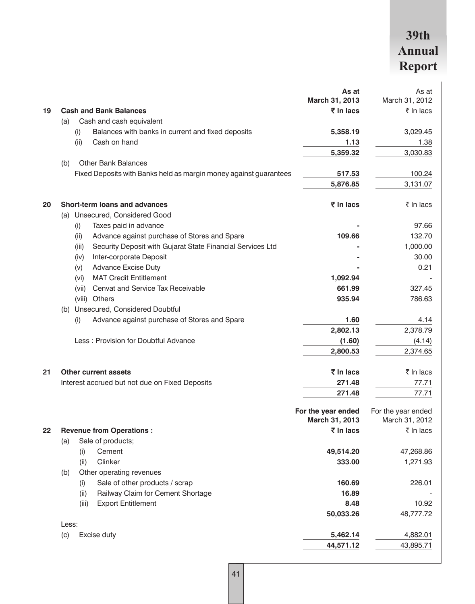# **39th Annual Report**

|    |                                                                     | As at              | As at                |
|----|---------------------------------------------------------------------|--------------------|----------------------|
|    |                                                                     | March 31, 2013     | March 31, 2012       |
| 19 | <b>Cash and Bank Balances</b>                                       | ₹ In lacs          | $\bar{\tau}$ In lacs |
|    | Cash and cash equivalent<br>(a)                                     |                    |                      |
|    | (i)<br>Balances with banks in current and fixed deposits            | 5,358.19           | 3,029.45             |
|    | Cash on hand<br>(ii)                                                | 1.13               | 1.38                 |
|    |                                                                     | 5,359.32           | 3,030.83             |
|    | <b>Other Bank Balances</b><br>(b)                                   |                    |                      |
|    | Fixed Deposits with Banks held as margin money against guarantees   | 517.53             | 100.24               |
|    |                                                                     | 5,876.85           | 3,131.07             |
|    |                                                                     |                    |                      |
| 20 | Short-term loans and advances                                       | ₹ In lacs          | ₹ In lacs            |
|    | (a) Unsecured, Considered Good                                      |                    |                      |
|    | Taxes paid in advance<br>(i)                                        |                    | 97.66                |
|    | Advance against purchase of Stores and Spare<br>(ii)                | 109.66             | 132.70               |
|    | Security Deposit with Gujarat State Financial Services Ltd<br>(iii) |                    | 1,000.00             |
|    | Inter-corporate Deposit<br>(iv)                                     |                    | 30.00                |
|    | <b>Advance Excise Duty</b><br>(v)                                   |                    | 0.21                 |
|    | <b>MAT Credit Entitlement</b><br>(vi)                               | 1,092.94           |                      |
|    | Cenvat and Service Tax Receivable<br>(vii)                          | 661.99             | 327.45               |
|    | (viii) Others                                                       | 935.94             | 786.63               |
|    | (b) Unsecured, Considered Doubtful                                  |                    |                      |
|    | Advance against purchase of Stores and Spare                        | 1.60               | 4.14                 |
|    | (i)                                                                 | 2,802.13           | 2,378.79             |
|    |                                                                     |                    |                      |
|    | Less: Provision for Doubtful Advance                                | (1.60)             | (4.14)               |
|    |                                                                     | 2,800.53           | 2,374.65             |
|    |                                                                     | ₹ In lacs          | ₹ In lacs            |
| 21 | <b>Other current assets</b>                                         |                    |                      |
|    | Interest accrued but not due on Fixed Deposits                      | 271.48             | 77.71                |
|    |                                                                     | 271.48             | 77.71                |
|    |                                                                     | For the year ended | For the year ended   |
|    |                                                                     | March 31, 2013     | March 31, 2012       |
| 22 | <b>Revenue from Operations:</b>                                     | ₹ In lacs          | $\bar{\tau}$ In lacs |
|    | Sale of products;<br>(a)                                            |                    |                      |
|    | (i)<br>Cement                                                       | 49,514.20          | 47,268.86            |
|    | Clinker<br>(ii)                                                     | 333.00             | 1,271.93             |
|    | Other operating revenues<br>(b)                                     |                    |                      |
|    | Sale of other products / scrap<br>(i)                               | 160.69             | 226.01               |
|    | (ii)<br>Railway Claim for Cement Shortage                           | 16.89              |                      |
|    | <b>Export Entitlement</b><br>(iii)                                  | 8.48               | 10.92                |
|    |                                                                     | 50,033.26          | 48,777.72            |
|    | Less:                                                               |                    |                      |
|    | Excise duty<br>(c)                                                  | 5,462.14           | 4,882.01             |
|    |                                                                     | 44,571.12          | 43,895.71            |
|    |                                                                     |                    |                      |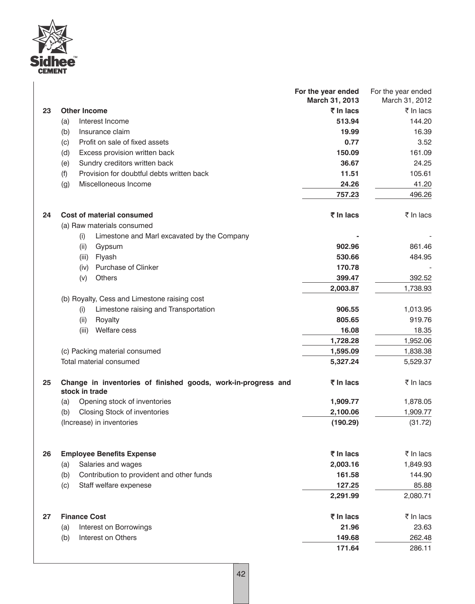

|    |                                                                                 | For the year ended   | For the year ended |
|----|---------------------------------------------------------------------------------|----------------------|--------------------|
|    |                                                                                 | March 31, 2013       | March 31, 2012     |
| 23 | <b>Other Income</b>                                                             | $\bar{\tau}$ in lacs | ₹ In lacs          |
|    | Interest Income<br>(a)                                                          | 513.94               | 144.20             |
|    | (b)<br>Insurance claim                                                          | 19.99                | 16.39              |
|    | Profit on sale of fixed assets<br>(c)                                           | 0.77                 | 3.52               |
|    | Excess provision written back<br>(d)                                            | 150.09               | 161.09             |
|    | Sundry creditors written back<br>(e)                                            | 36.67                | 24.25              |
|    | Provision for doubtful debts written back<br>(f)                                | 11.51                | 105.61             |
|    | Miscelloneous Income<br>(g)                                                     | 24.26                | 41.20              |
|    |                                                                                 | 757.23               | 496.26             |
| 24 | Cost of material consumed                                                       | ₹ In lacs            | ₹ In lacs          |
|    | (a) Raw materials consumed                                                      |                      |                    |
|    | Limestone and Marl excavated by the Company<br>(i)                              |                      |                    |
|    | (ii)<br>Gypsum                                                                  | 902.96               | 861.46             |
|    | Flyash<br>(iii)                                                                 | 530.66               | 484.95             |
|    | Purchase of Clinker<br>(iv)                                                     | 170.78               |                    |
|    | (v)<br><b>Others</b>                                                            | 399.47               | 392.52             |
|    |                                                                                 | 2,003.87             | 1,738.93           |
|    | (b) Royalty, Cess and Limestone raising cost                                    |                      |                    |
|    | Limestone raising and Transportation<br>(i)                                     | 906.55               | 1,013.95           |
|    | (ii)<br>Royalty                                                                 | 805.65               | 919.76             |
|    | Welfare cess<br>(iii)                                                           | 16.08                | 18.35              |
|    |                                                                                 | 1,728.28             | 1,952.06           |
|    | (c) Packing material consumed                                                   | 1,595.09             | 1,838.38           |
|    | Total material consumed                                                         | 5,327.24             | 5,529.37           |
| 25 | Change in inventories of finished goods, work-in-progress and<br>stock in trade | ₹ In lacs            | ₹ In lacs          |
|    | Opening stock of inventories<br>(a)                                             | 1,909.77             | 1,878.05           |
|    | Closing Stock of inventories<br>(b)                                             | 2,100.06             | 1,909.77           |
|    | (Increase) in inventories                                                       | (190.29)             | (31.72)            |
| 26 | <b>Employee Benefits Expense</b>                                                | ₹ In lacs            | ₹ In lacs          |
|    | Salaries and wages<br>(a)                                                       | 2,003.16             | 1,849.93           |
|    | Contribution to provident and other funds<br>(b)                                | 161.58               | 144.90             |
|    | Staff welfare expenese<br>(c)                                                   | 127.25               | 85.88              |
|    |                                                                                 | 2,291.99             | 2,080.71           |
| 27 | <b>Finance Cost</b>                                                             | ₹ In lacs            | ₹ In lacs          |
|    | Interest on Borrowings<br>(a)                                                   | 21.96                | 23.63              |
|    | Interest on Others<br>(b)                                                       | 149.68               | 262.48             |
|    |                                                                                 | 171.64               | 286.11             |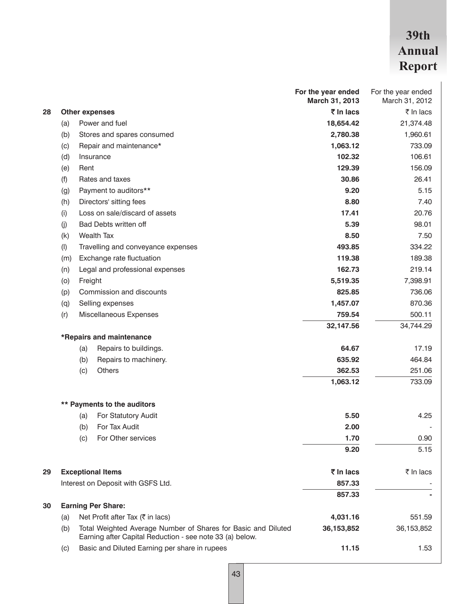# **39th Annual Report**

|    |     |                                                                                                                           | For the year ended<br>March 31, 2013 | For the year ended<br>March 31, 2012 |
|----|-----|---------------------------------------------------------------------------------------------------------------------------|--------------------------------------|--------------------------------------|
| 28 |     | <b>Other expenses</b>                                                                                                     | ₹ In lacs                            | $\bar{\tau}$ In lacs                 |
|    | (a) | Power and fuel                                                                                                            | 18,654.42                            | 21,374.48                            |
|    | (b) | Stores and spares consumed                                                                                                | 2,780.38                             | 1,960.61                             |
|    | (c) | Repair and maintenance*                                                                                                   | 1,063.12                             | 733.09                               |
|    | (d) | Insurance                                                                                                                 | 102.32                               | 106.61                               |
|    | (e) | Rent                                                                                                                      | 129.39                               | 156.09                               |
|    | (f) | Rates and taxes                                                                                                           | 30,86                                | 26.41                                |
|    | (g) | Payment to auditors**                                                                                                     | 9.20                                 | 5.15                                 |
|    | (h) | Directors' sitting fees                                                                                                   | 8.80                                 | 7.40                                 |
|    | (i) | Loss on sale/discard of assets                                                                                            | 17.41                                | 20.76                                |
|    | (j) | Bad Debts written off                                                                                                     | 5.39                                 | 98.01                                |
|    | (k) | Wealth Tax                                                                                                                | 8.50                                 | 7.50                                 |
|    | (1) | Travelling and conveyance expenses                                                                                        | 493.85                               | 334.22                               |
|    | (m) | Exchange rate fluctuation                                                                                                 | 119.38                               | 189.38                               |
|    | (n) | Legal and professional expenses                                                                                           | 162.73                               | 219.14                               |
|    | (0) | Freight                                                                                                                   | 5,519.35                             | 7,398.91                             |
|    | (p) | Commission and discounts                                                                                                  | 825.85                               | 736.06                               |
|    | (q) | Selling expenses                                                                                                          | 1,457.07                             | 870.36                               |
|    | (r) | Miscellaneous Expenses                                                                                                    | 759.54                               | 500.11                               |
|    |     |                                                                                                                           | 32,147.56                            | 34,744.29                            |
|    |     | *Repairs and maintenance                                                                                                  |                                      |                                      |
|    |     | Repairs to buildings.<br>(a)                                                                                              | 64.67                                | 17.19                                |
|    |     | Repairs to machinery.<br>(b)                                                                                              | 635.92                               | 464.84                               |
|    |     | Others<br>(c)                                                                                                             | 362.53                               | 251.06                               |
|    |     |                                                                                                                           | 1,063.12                             | 733.09                               |
|    |     | ** Payments to the auditors                                                                                               |                                      |                                      |
|    |     | For Statutory Audit<br>(a)                                                                                                | 5.50                                 | 4.25                                 |
|    |     | For Tax Audit<br>(b)                                                                                                      | 2.00                                 |                                      |
|    |     | For Other services<br>(c)                                                                                                 | 1.70                                 | 0.90                                 |
|    |     |                                                                                                                           | 9.20                                 | 5.15                                 |
|    |     |                                                                                                                           |                                      |                                      |
| 29 |     | <b>Exceptional Items</b>                                                                                                  | ₹ In lacs                            | ₹ In lacs                            |
|    |     | Interest on Deposit with GSFS Ltd.                                                                                        | 857.33                               |                                      |
|    |     |                                                                                                                           | 857.33                               |                                      |
| 30 |     | <b>Earning Per Share:</b>                                                                                                 |                                      |                                      |
|    | (a) | Net Profit after Tax (₹ in lacs)                                                                                          | 4,031.16                             | 551.59                               |
|    | (b) | Total Weighted Average Number of Shares for Basic and Diluted<br>Earning after Capital Reduction - see note 33 (a) below. | 36, 153, 852                         | 36,153,852                           |
|    | (c) | Basic and Diluted Earning per share in rupees                                                                             | 11.15                                | 1.53                                 |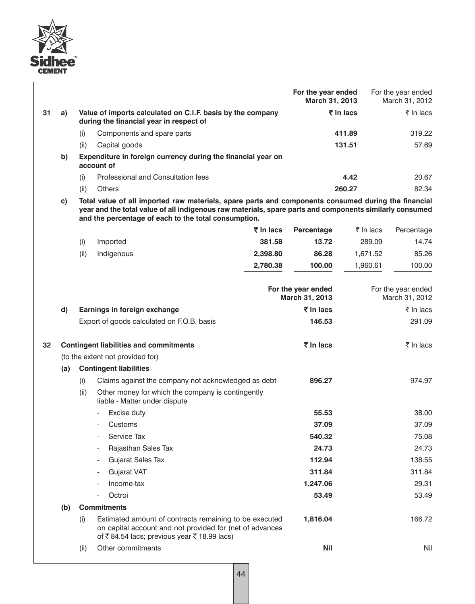

|    |     |      |                                                                                                                                                                                                                                                                        |           | For the year ended<br>March 31, 2013 |           | For the year ended<br>March 31, 2012 |
|----|-----|------|------------------------------------------------------------------------------------------------------------------------------------------------------------------------------------------------------------------------------------------------------------------------|-----------|--------------------------------------|-----------|--------------------------------------|
| 31 | a)  |      | Value of imports calculated on C.I.F. basis by the company<br>during the financial year in respect of                                                                                                                                                                  |           |                                      | ₹ In lacs | ₹ In lacs                            |
|    |     | (i)  | Components and spare parts                                                                                                                                                                                                                                             |           |                                      | 411.89    | 319.22                               |
|    |     | (ii) | Capital goods                                                                                                                                                                                                                                                          |           |                                      | 131.51    | 57.69                                |
|    | b)  |      | Expenditure in foreign currency during the financial year on<br>account of                                                                                                                                                                                             |           |                                      |           |                                      |
|    |     | (i)  | Professional and Consultation fees                                                                                                                                                                                                                                     |           |                                      | 4.42      | 20.67                                |
|    |     | (ii) | <b>Others</b>                                                                                                                                                                                                                                                          |           |                                      | 260.27    | 82.34                                |
|    | c)  |      | Total value of all imported raw materials, spare parts and components consumed during the financial<br>year and the total value of all indigenous raw materials, spare parts and components similarly consumed<br>and the percentage of each to the total consumption. |           |                                      |           |                                      |
|    |     |      |                                                                                                                                                                                                                                                                        | ₹ In lacs | Percentage                           | ₹ In lacs | Percentage                           |
|    |     | (i)  | Imported                                                                                                                                                                                                                                                               | 381.58    | 13.72                                | 289.09    | 14.74                                |
|    |     | (ii) | Indigenous                                                                                                                                                                                                                                                             | 2,398.80  | 86.28                                | 1,671.52  | 85.26                                |
|    |     |      |                                                                                                                                                                                                                                                                        | 2,780.38  | 100.00                               | 1,960.61  | 100.00                               |
|    |     |      |                                                                                                                                                                                                                                                                        |           | For the year ended<br>March 31, 2013 |           | For the year ended<br>March 31, 2012 |
|    | d)  |      | Earnings in foreign exchange                                                                                                                                                                                                                                           |           | ₹ In lacs                            |           | ₹ In lacs                            |
|    |     |      | Export of goods calculated on F.O.B. basis                                                                                                                                                                                                                             |           | 146.53                               |           | 291.09                               |
| 32 |     |      | <b>Contingent liabilities and commitments</b>                                                                                                                                                                                                                          |           | ₹ In lacs                            |           | ₹ In lacs                            |
|    |     |      | (to the extent not provided for)                                                                                                                                                                                                                                       |           |                                      |           |                                      |
|    | (a) |      | <b>Contingent liabilities</b>                                                                                                                                                                                                                                          |           |                                      |           |                                      |
|    |     | (i)  | Claims against the company not acknowledged as debt                                                                                                                                                                                                                    |           | 896.27                               |           | 974.97                               |
|    |     | (ii) | Other money for which the company is contingently<br>liable - Matter under dispute                                                                                                                                                                                     |           |                                      |           |                                      |
|    |     |      | Excise duty                                                                                                                                                                                                                                                            |           | 55.53                                |           | 38,00                                |
|    |     |      | Customs                                                                                                                                                                                                                                                                |           | 37.09                                |           | 37.09                                |
|    |     |      | Service Tax                                                                                                                                                                                                                                                            |           | 540.32                               |           | 75.08                                |
|    |     |      | Rajasthan Sales Tax                                                                                                                                                                                                                                                    |           | 24.73                                |           | 24.73                                |
|    |     |      | <b>Gujarat Sales Tax</b>                                                                                                                                                                                                                                               |           | 112.94                               |           | 138.55                               |
|    |     |      | Gujarat VAT                                                                                                                                                                                                                                                            |           | 311.84                               |           | 311.84                               |
|    |     |      | Income-tax                                                                                                                                                                                                                                                             |           | 1,247.06                             |           | 29.31                                |
|    |     |      | Octroi                                                                                                                                                                                                                                                                 |           | 53.49                                |           | 53.49                                |
|    | (b) |      | <b>Commitments</b>                                                                                                                                                                                                                                                     |           |                                      |           |                                      |
|    |     | (i)  | Estimated amount of contracts remaining to be executed<br>on capital account and not provided for (net of advances<br>of ₹84.54 lacs; previous year ₹18.99 lacs)                                                                                                       |           | 1,816.04                             |           | 166.72                               |
|    |     | (ii) | Other commitments                                                                                                                                                                                                                                                      |           | <b>Nil</b>                           |           | Nil                                  |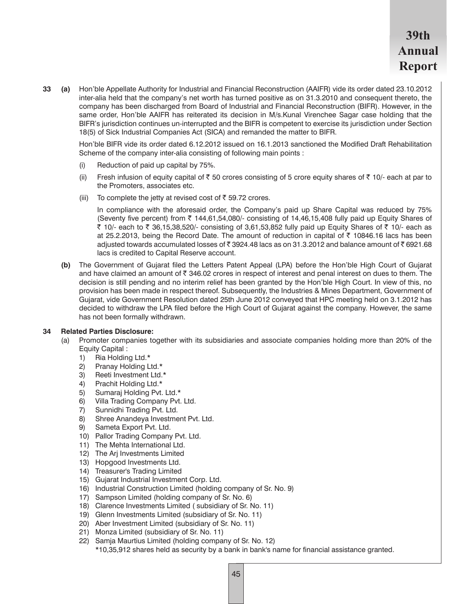**33 (a)** Hon'ble Appellate Authority for Industrial and Financial Reconstruction (AAIFR) vide its order dated 23.10.2012 inter-alia held that the company's net worth has turned positive as on 31.3.2010 and consequent thereto, the company has been discharged from Board of Industrial and Financial Reconstruction (BIFR). However, in the same order, Hon'ble AAIFR has reiterated its decision in M/s.Kunal Virenchee Sagar case holding that the BIFR's jurisdiction continues un-interrupted and the BIFR is competent to exercise its jurisdiction under Section 18(5) of Sick Industrial Companies Act (SICA) and remanded the matter to BIFR.

Hon'ble BIFR vide its order dated 6.12.2012 issued on 16.1.2013 sanctioned the Modified Draft Rehabilitation Scheme of the company inter-alia consisting of following main points :

- (i) Reduction of paid up capital by 75%.
- (ii) Fresh infusion of equity capital of  $\bar{\tau}$  50 crores consisting of 5 crore equity shares of  $\bar{\tau}$  10/- each at par to the Promoters, associates etc.
- (iii) To complete the jetty at revised cost of  $\bar{z}$  59.72 crores.

In compliance with the aforesaid order, the Company's paid up Share Capital was reduced by 75% (Seventy five percent) from  $\bar{\tau}$  144,61,54,080/- consisting of 14,46,15,408 fully paid up Equity Shares of ₹ 10/- each to ₹ 36,15,38,520/- consisting of 3,61,53,852 fully paid up Equity Shares of ₹ 10/- each as at 25.2.2013, being the Record Date. The amount of reduction in capital of  $\bar{z}$  10846.16 lacs has been adjusted towards accumulated losses of ₹ 3924.48 lacs as on 31.3.2012 and balance amount of ₹ 6921.68 lacs is credited to Capital Reserve account.

**(b)** The Government of Gujarat filed the Letters Patent Appeal (LPA) before the Hon'ble High Court of Gujarat and have claimed an amount of  $\bar{\tau}$  346.02 crores in respect of interest and penal interest on dues to them. The decision is still pending and no interim relief has been granted by the Hon'ble High Court. In view of this, no provision has been made in respect thereof. Subsequently, the Industries & Mines Department, Government of Gujarat, vide Government Resolution dated 25th June 2012 conveyed that HPC meeting held on 3.1.2012 has decided to withdraw the LPA filed before the High Court of Gujarat against the company. However, the same has not been formally withdrawn.

#### **34 Related Parties Disclosure:**

- (a) Promoter companies together with its subsidiaries and associate companies holding more than 20% of the Equity Capital :
	- 1) Ria Holding Ltd.\*
	- 2) Pranay Holding Ltd.\*
	- 3) Reeti Investment Ltd.\*
	- 4) Prachit Holding Ltd.\*
	- 5) Sumaraj Holding Pvt. Ltd.\*
	- 6) Villa Trading Company Pvt. Ltd.
	- 7) Sunnidhi Trading Pvt. Ltd.
	- 8) Shree Anandeya Investment Pvt. Ltd.
	- 9) Sameta Export Pvt. Ltd.
	- 10) Pallor Trading Company Pvt. Ltd.
	- 11) The Mehta International Ltd.
	- 12) The Arj Investments Limited
	- 13) Hopgood Investments Ltd.
	- 14) Treasurer's Trading Limited
	- 15) Gujarat Industrial Investment Corp. Ltd.
	- 16) Industrial Construction Limited (holding company of Sr. No. 9)
	- 17) Sampson Limited (holding company of Sr. No. 6)
	- 18) Clarence Investments Limited ( subsidiary of Sr. No. 11)
	- 19) Glenn Investments Limited (subsidiary of Sr. No. 11)
	- 20) Aber Investment Limited (subsidiary of Sr. No. 11)
	- 21) Monza Limited (subsidiary of Sr. No. 11)
	- 22) Samja Maurtius Limited (holding company of Sr. No. 12) \*10,35,912 shares held as security by a bank in bank's name for financial assistance granted.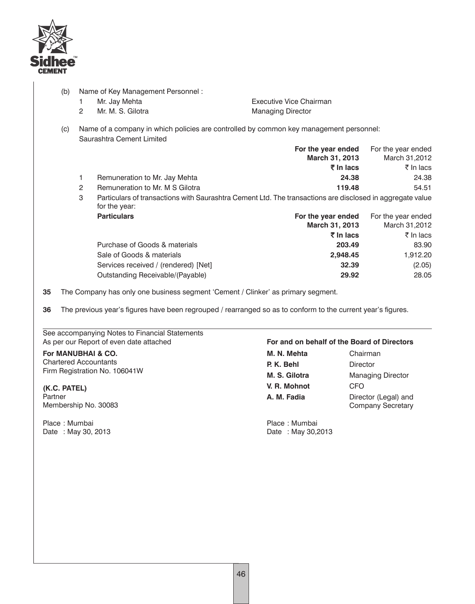

| (b) |  | Name of Key Management Personnel: |  |  |
|-----|--|-----------------------------------|--|--|
|-----|--|-----------------------------------|--|--|

| Mr. Jay Mehta     | Executive Vice Chairman  |
|-------------------|--------------------------|
| Mr. M. S. Gilotra | <b>Managing Director</b> |

(c) Name of a company in which policies are controlled by common key management personnel: Saurashtra Cement Limited

|   |                                                                                                                            | For the year ended         | For the year ended   |
|---|----------------------------------------------------------------------------------------------------------------------------|----------------------------|----------------------|
|   |                                                                                                                            | March 31, 2013             | March 31,2012        |
|   |                                                                                                                            | $\bar{\mathbf{z}}$ in lacs | ₹ In lacs            |
| 1 | Remuneration to Mr. Jay Mehta                                                                                              | 24.38                      | 24.38                |
| 2 | Remuneration to Mr. M S Gilotra                                                                                            | 119.48                     | 54.51                |
| 3 | Particulars of transactions with Saurashtra Cement Ltd. The transactions are disclosed in aggregate value<br>for the year: |                            |                      |
|   | <b>Particulars</b>                                                                                                         | For the year ended         | For the year ended   |
|   |                                                                                                                            | March 31, 2013             | March 31,2012        |
|   |                                                                                                                            | ₹ In lacs                  | $\bar{\tau}$ In lacs |
|   | Purchase of Goods & materials                                                                                              | 203.49                     | 83.90                |
|   | Sale of Goods & materials                                                                                                  | 2,948.45                   | 1,912.20             |
|   | Services received / (rendered) [Net]                                                                                       | 32.39                      | (2.05)               |
|   | Outstanding Receivable/(Payable)                                                                                           | 29.92                      | 28.05                |

**35** The Company has only one business segment 'Cement / Clinker' as primary segment.

**36** The previous year's figures have been regrouped / rearranged so as to conform to the current year's figures.

| See accompanying Notes to Financial Statements |                     |                                             |
|------------------------------------------------|---------------------|---------------------------------------------|
| As per our Report of even date attached        |                     | For and on behalf of the Board of Directors |
| For MANUBHAI & CO.                             | M. N. Mehta         | Chairman                                    |
| <b>Chartered Accountants</b>                   | P. K. Behl          | <b>Director</b>                             |
| Firm Registration No. 106041W                  | M. S. Gilotra       | <b>Managing Director</b>                    |
| (K.C. PATEL)                                   | V. R. Mohnot        | <b>CFO</b>                                  |
| Partner<br>Membership No. 30083                | A. M. Fadia         | Director (Legal) and<br>Company Secretary   |
| Place: Mumbai                                  | Place: Mumbai       |                                             |
| Date: May 30, 2013                             | Date: $Mav$ 30,2013 |                                             |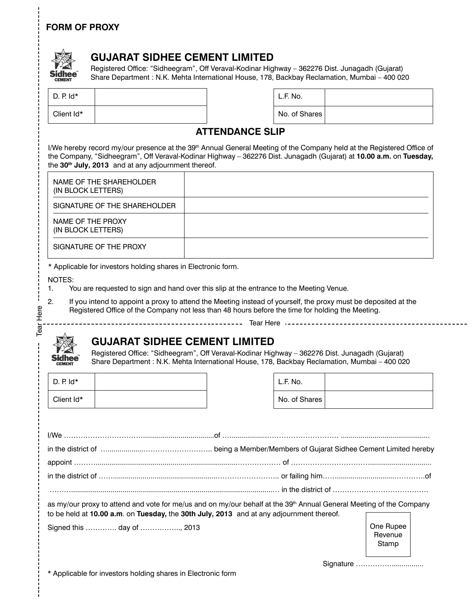## **FORM OF PROXY**



# **GUJARAT SIDHEE CEMENT LIMITED**

Registered Office: "Sidheegram", Off Veraval-Kodinar Highway – 362276 Dist. Junagadh (Gujarat) Share Department : N.K. Mehta International House, 178, Backbay Reclamation, Mumbai – 400 020

| D. P. Id*  |  |
|------------|--|
| Client Id* |  |

| L.F. No.      |  |
|---------------|--|
| No. of Shares |  |

## **ATTENDANCE SLIP**

I/We hereby record my/our presence at the 39<sup>th</sup> Annual General Meeting of the Company held at the Registered Office of the Company, "Sidheegram", Off Veraval-Kodinar Highway – 362276 Dist. Junagadh (Gujarat) at **10.00 a.m.** on **Tuesday,**  the **30th July, 2013** and at any adjournment thereof.

| NAME OF THE SHAREHOLDER<br>(IN BLOCK LETTERS) |  |
|-----------------------------------------------|--|
| SIGNATURE OF THE SHAREHOLDER                  |  |
| NAME OF THE PROXY<br>(IN BLOCK LETTERS)       |  |
| SIGNATURE OF THE PROXY                        |  |

\* Applicable for investors holding shares in Electronic form.

NOTES:

Tear Here

Tear Here

- 1. You are requested to sign and hand over this slip at the entrance to the Meeting Venue.
- 2. If you intend to appoint a proxy to attend the Meeting instead of yourself, the proxy must be deposited at the Registered Office of the Company not less than 48 hours before the time for holding the Meeting.



# **GUJARAT SIDHEE CEMENT LIMITED**

Registered Office: "Sidheegram", Off Veraval-Kodinar Highway – 362276 Dist. Junagadh (Gujarat) Share Department : N.K. Mehta International House, 178, Backbay Reclamation, Mumbai – 400 020

------------------ Tear Here ----------

| D. P. $\mathsf{Id}^*$ |  |
|-----------------------|--|
| Client Id*            |  |

| L.F. No.      |  |
|---------------|--|
| No. of Shares |  |

| as my/our proxy to attend and vote for me/us and on my/our behalf at the 39 <sup>th</sup> Annual General Meeting of the Company<br>to be held at 10.00 a.m. on Tuesday, the 30th July, 2013 and at any adjournment thereof. |  |                               |  |  |  |
|-----------------------------------------------------------------------------------------------------------------------------------------------------------------------------------------------------------------------------|--|-------------------------------|--|--|--|
| Signed this  day of , 2013                                                                                                                                                                                                  |  | One Rupee<br>Revenue<br>Stamp |  |  |  |

Signature ……………................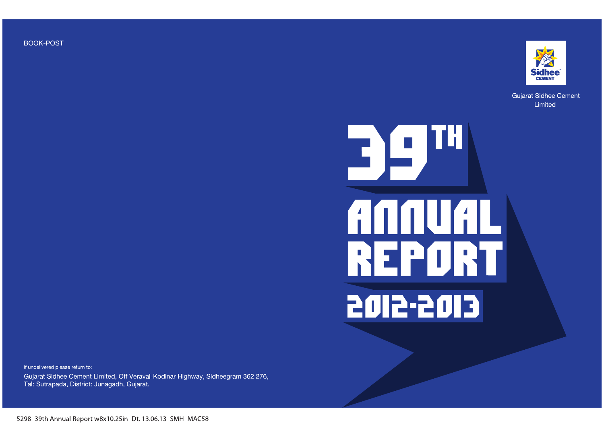# **BOOK-POST**

If undelivered please return to:

Gujarat Sidhee Cement Limited, Off Veraval-Kodinar Highway, Sidheegram 362 276, Tal: Sutrapada, District: Junagadh, Gujarat.